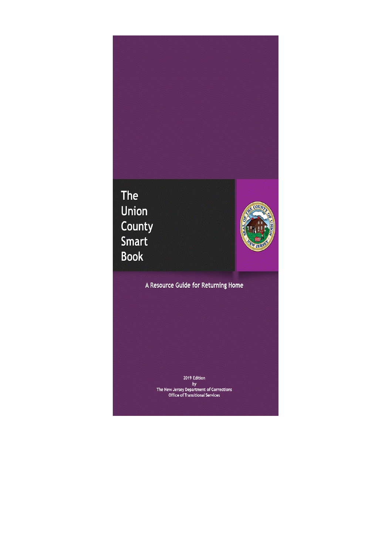# The Union **County**<br>Smart **Book**



A Resource Guide for Returning Home

2019 Edition by<br>The New Jersey Department of Corrections<br>Office of Transitional Services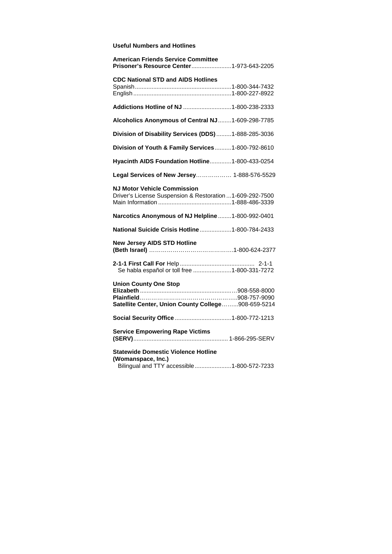## **Useful Numbers and Hotlines**

| <b>American Friends Service Committee</b><br>Prisoner's Resource Center 1-973-643-2205                         |
|----------------------------------------------------------------------------------------------------------------|
| <b>CDC National STD and AIDS Hotlines</b>                                                                      |
| Addictions Hotline of NJ  1-800-238-2333                                                                       |
| Alcoholics Anonymous of Central NJ1-609-298-7785                                                               |
| Division of Disability Services (DDS)  1-888-285-3036                                                          |
| Division of Youth & Family Services1-800-792-8610                                                              |
| Hyacinth AIDS Foundation Hotline1-800-433-0254                                                                 |
| Legal Services of New Jersey 1-888-576-5529                                                                    |
| <b>NJ Motor Vehicle Commission</b><br>Driver's License Suspension & Restoration  1-609-292-7500                |
| Narcotics Anonymous of NJ Helpline  1-800-992-0401                                                             |
| National Suicide Crisis Hotline  1-800-784-2433                                                                |
| <b>New Jersey AIDS STD Hotline</b>                                                                             |
| Se habla español or toll free 1-800-331-7272                                                                   |
| <b>Union County One Stop</b><br>Satellite Center, Union County College908-659-5214                             |
|                                                                                                                |
| <b>Service Empowering Rape Victims</b>                                                                         |
| <b>Statewide Domestic Violence Hotline</b><br>(Womanspace, Inc.)<br>Bilingual and TTY accessible1-800-572-7233 |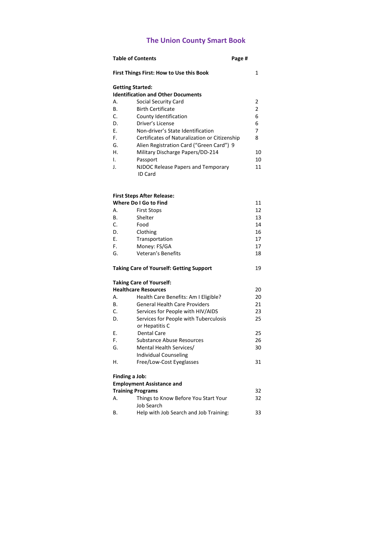## **The Union County Smart Book**

|            | <b>Table of Contents</b><br>Page #                   |                |
|------------|------------------------------------------------------|----------------|
|            | <b>First Things First: How to Use this Book</b>      | 1              |
|            | <b>Getting Started:</b>                              |                |
|            | <b>Identification and Other Documents</b>            |                |
| Α.         | Social Security Card                                 | 2              |
| <b>B.</b>  | <b>Birth Certificate</b>                             | $\overline{2}$ |
| C.         | County Identification                                | 6              |
| D.         | Driver's License                                     | 6              |
| F.         | Non-driver's State Identification                    | 7              |
| F.         | Certificates of Naturalization or Citizenship        | 8              |
| G.         | Alien Registration Card ("Green Card") 9             |                |
| Η.         | Military Discharge Papers/DD-214                     | 10             |
| I.         | Passport                                             | 10             |
| J.         | NJDOC Release Papers and Temporary<br><b>ID Card</b> | 11             |
|            |                                                      |                |
|            | <b>First Steps After Release:</b>                    |                |
|            | Where Do I Go to Find                                | 11             |
| Α.         | <b>First Stops</b>                                   | 12             |
| В.         | Shelter                                              | 13             |
| C.         | Food                                                 | 14             |
| D.         | Clothing                                             | 16             |
| E.         | Transportation                                       | 17             |
| F.         | Money: FS/GA                                         | 17             |
| G.         | Veteran's Benefits                                   | 18             |
| mart 1970. | $\sim$ . In the second of the contract $\sim$        | $\sim$         |

## **Taking Care of Yourself: Getting Support** 19

#### **Taking Care of Yourself:**

|    | <b>Healthcare Resources</b>           | 20 |
|----|---------------------------------------|----|
| А. | Health Care Benefits: Am I Eligible?  | 20 |
| В. | <b>General Health Care Providers</b>  | 21 |
| C. | Services for People with HIV/AIDS     | 23 |
| D. | Services for People with Tuberculosis | 25 |
|    | or Hepatitis C                        |    |
| Е. | Dental Care                           | 25 |
| F. | <b>Substance Abuse Resources</b>      | 26 |
| G. | Mental Health Services/               | 30 |
|    | Individual Counseling                 |    |
| Н. | Free/Low-Cost Eyeglasses              | 31 |
|    | Finding a Job:                        |    |
|    | <b>Employment Assistance and</b>      |    |
|    | <b>Training Programs</b>              | 32 |
| А. | Things to Know Before You Start Your  | 32 |
|    | Job Search                            |    |

B. Help with Job Search and Job Training: 33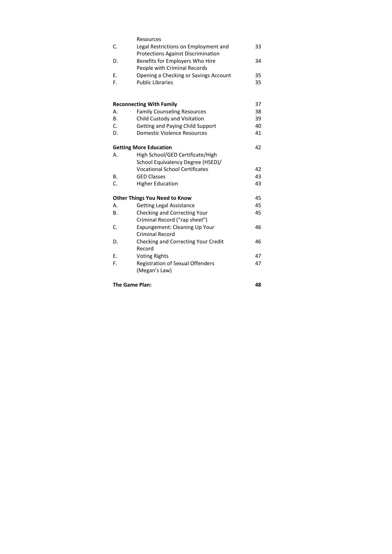|    | Resources                                                                         |    |
|----|-----------------------------------------------------------------------------------|----|
| C. | Legal Restrictions on Employment and<br><b>Protections Against Discrimination</b> | 33 |
| D. | Benefits for Employers Who Hire                                                   | 34 |
|    | People with Criminal Records                                                      |    |
| E. | Opening a Checking or Savings Account                                             | 35 |
| F. | <b>Public Libraries</b>                                                           | 35 |
|    | <b>Reconnecting With Family</b>                                                   | 37 |
| А. | <b>Family Counseling Resources</b>                                                | 38 |
| В. | Child Custody and Visitation                                                      | 39 |
| C. | <b>Getting and Paying Child Support</b>                                           | 40 |
| D. | <b>Domestic Violence Resources</b>                                                | 41 |
|    | <b>Getting More Education</b>                                                     | 42 |
| А. | High School/GED Certificate/High                                                  |    |
|    | School Equivalency Degree (HSED)/                                                 |    |
|    | <b>Vocational School Certificates</b>                                             | 42 |
| В. | <b>GED Classes</b>                                                                | 43 |
| C. | <b>Higher Education</b>                                                           | 43 |
|    | <b>Other Things You Need to Know</b>                                              | 45 |
| А. | <b>Getting Legal Assistance</b>                                                   | 45 |
| В. | Checking and Correcting Your                                                      | 45 |
|    | Criminal Record ("rap sheet")                                                     |    |
| C. | Expungement: Cleaning Up Your<br><b>Criminal Record</b>                           | 46 |
| D. | Checking and Correcting Your Credit                                               | 46 |
|    | Record                                                                            |    |
| Е. | <b>Voting Rights</b>                                                              | 47 |
| F. | <b>Registration of Sexual Offenders</b>                                           | 47 |
|    | (Megan's Law)                                                                     |    |
|    | The Game Plan:                                                                    | 48 |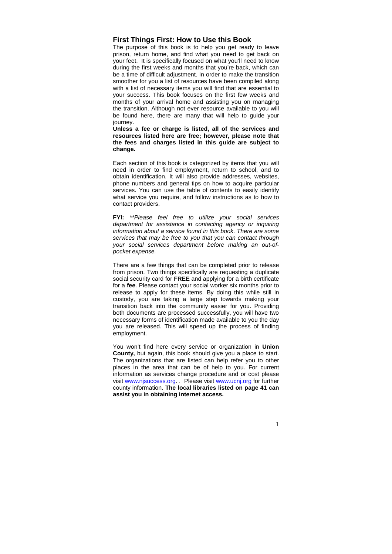#### **First Things First: How to Use this Book**

The purpose of this book is to help you get ready to leave prison, return home, and find what you need to get back on your feet. It is specifically focused on what you'll need to know during the first weeks and months that you're back, which can be a time of difficult adjustment. In order to make the transition smoother for you a list of resources have been compiled along with a list of necessary items you will find that are essential to your success. This book focuses on the first few weeks and months of your arrival home and assisting you on managing the transition. Although not ever resource available to you will be found here, there are many that will help to guide your journey.

**Unless a fee or charge is listed, all of the services and resources listed here are free; however, please note that the fees and charges listed in this guide are subject to change.** 

Each section of this book is categorized by items that you will need in order to find employment, return to school, and to obtain identification. It will also provide addresses, websites, phone numbers and general tips on how to acquire particular services. You can use the table of contents to easily identify what service you require, and follow instructions as to how to contact providers.

**FYI:** \*\*Please feel free to utilize your social services department for assistance in contacting agency or inquiring information about a service found in this book. There are some services that may be free to you that you can contact through your social services department before making an out-ofpocket expense.

There are a few things that can be completed prior to release from prison. Two things specifically are requesting a duplicate social security card for **FREE** and applying for a birth certificate for a **fee**. Please contact your social worker six months prior to release to apply for these items. By doing this while still in custody, you are taking a large step towards making your transition back into the community easier for you. Providing both documents are processed successfully, you will have two necessary forms of identification made available to you the day you are released. This will speed up the process of finding employment.

You won't find here every service or organization in **Union County,** but again, this book should give you a place to start. The organizations that are listed can help refer you to other places in the area that can be of help to you. For current information as services change procedure and or cost please visit www.njsuccess.org. . Please visit www.ucnj.org for further county information. **The local libraries listed on page 41 can assist you in obtaining internet access.**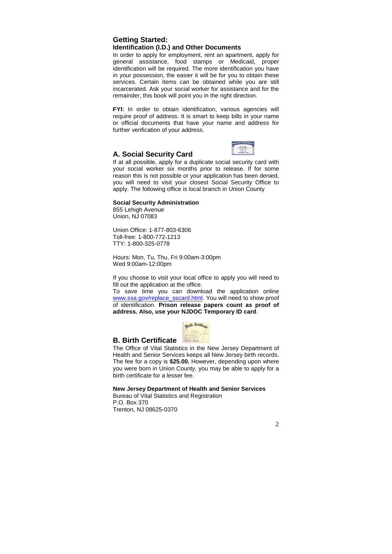## **Getting Started: Identification (I.D.) and Other Documents**

In order to apply for employment, rent an apartment, apply for general assistance, food stamps or Medicaid, proper identification will be required. The more identification you have in your possession, the easier it will be for you to obtain these services. Certain items can be obtained while you are still incarcerated. Ask your social worker for assistance and for the remainder, this book will point you in the right direction.

FYI: In order to obtain identification, various agencies will require proof of address. It is smart to keep bills in your name or official documents that have your name and address for further verification of your address.

## **A. Social Security Card**



If at all possible, apply for a duplicate social security card with your social worker six months prior to release. If for some reason this is not possible or your application has been denied, you will need to visit your closest Social Security Office to apply. The following office is local branch in Union County

#### **Social Security Administration**

855 Lehigh Avenue Union, NJ 07083

Union Office: 1-877-803-6306 Toll-free: 1-800-772-1213 TTY: 1-800-325-0778

Hours: Mon, Tu, Thu, Fri 9:00am-3:00pm Wed 9:00am-12:00pm

If you choose to visit your local office to apply you will need to fill out the application at the office.

To save time you can download the application online www.ssa.gov/replace\_sscard.html. You will need to show proof of identification. **Prison release papers count as proof of address. Also, use your NJDOC Temporary ID card**.



## **B. Birth Certificate**

The Office of Vital Statistics in the New Jersey Department of Health and Senior Services keeps all New Jersey birth records. The fee for a copy is **\$25.00.** However, depending upon where you were born in Union County, you may be able to apply for a birth certificate for a lesser fee.

**New Jersey Department of Health and Senior Services** 

Bureau of Vital Statistics and Registration P.O. Box 370 Trenton, NJ 08625-0370

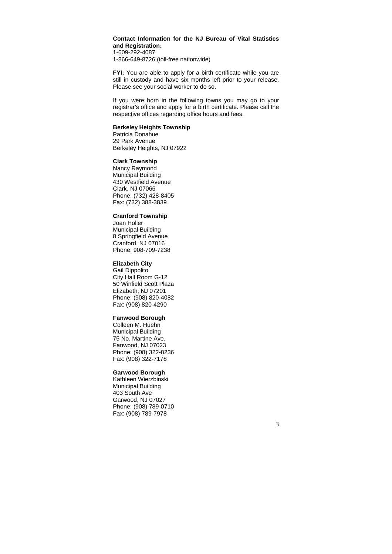## **Contact Information for the NJ Bureau of Vital Statistics and Registration:**

1-609-292-4087 1-866-649-8726 (toll-free nationwide)

**FYI:** You are able to apply for a birth certificate while you are still in custody and have six months left prior to your release. Please see your social worker to do so.

If you were born in the following towns you may go to your registrar's office and apply for a birth certificate. Please call the respective offices regarding office hours and fees.

#### **Berkeley Heights Township**

Patricia Donahue 29 Park Avenue Berkeley Heights, NJ 07922

## **Clark Township**

Nancy Raymond Municipal Building 430 Westfield Avenue Clark, NJ 07066 Phone: (732) 428-8405 Fax: (732) 388-3839

#### **Cranford Township**

Joan Holler Municipal Building 8 Springfield Avenue Cranford, NJ 07016 Phone: 908-709-7238

#### **Elizabeth City**

Gail Dippolito City Hall Room G-12 50 Winfield Scott Plaza Elizabeth, NJ 07201 Phone: (908) 820-4082 Fax: (908) 820-4290

#### **Fanwood Borough**

Colleen M. Huehn Municipal Building 75 No. Martine Ave. Fanwood, NJ 07023 Phone: (908) 322-8236 Fax: (908) 322-7178

## **Garwood Borough**

Kathleen Wierzbinski Municipal Building 403 South Ave Garwood, NJ 07027 Phone: (908) 789-0710 Fax: (908) 789-7978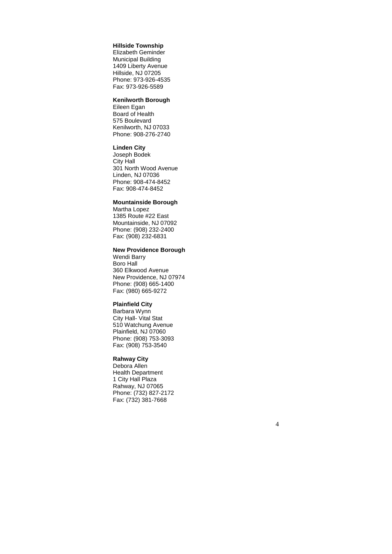#### **Hillside Township**

Elizabeth Geminder Municipal Building 1409 Liberty Avenue Hillside, NJ 07205 Phone: 973-926-4535 Fax: 973-926-5589

#### **Kenilworth Borough**

Eileen Egan Board of Health 575 Boulevard Kenilworth, NJ 07033 Phone: 908-276-2740

#### **Linden City**

Joseph Bodek City Hall 301 North Wood Avenue Linden, NJ 07036 Phone: 908-474-8452 Fax: 908-474-8452

#### **Mountainside Borough**

Martha Lopez 1385 Route #22 East Mountainside, NJ 07092 Phone: (908) 232-2400 Fax: (908) 232-6831

#### **New Providence Borough**

Wendi Barry Boro Hall 360 Elkwood Avenue New Providence, NJ 07974 Phone: (908) 665-1400 Fax: (980) 665-9272

#### **Plainfield City**

Barbara Wynn City Hall- Vital Stat 510 Watchung Avenue Plainfield, NJ 07060 Phone: (908) 753-3093 Fax: (908) 753-3540

## **Rahway City**

Debora Allen Health Department 1 City Hall Plaza Rahway, NJ 07065 Phone: (732) 827-2172 Fax: (732) 381-7668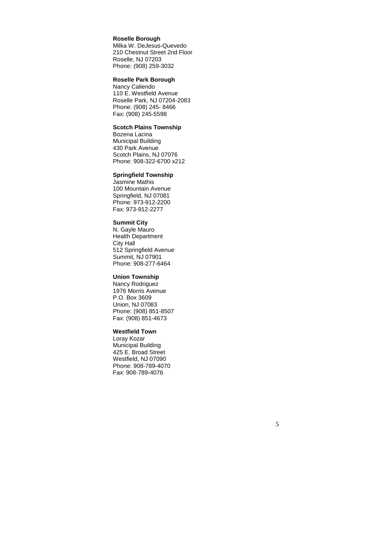#### **Roselle Borough**

Milka W. DeJesus-Quevedo 210 Chestnut Street 2nd Floor Roselle, NJ 07203 Phone: (908) 259-3032

## **Roselle Park Borough**

Nancy Caliendo 110 E. Westfield Avenue Roselle Park, NJ 07204-2083 Phone: (908) 245- 8466 Fax: (908) 245-5598

## **Scotch Plains Township**

Bozena Lacina Municipal Building 430 Park Avenue Scotch Plains, NJ 07076 Phone: 908-322-6700 x212

#### **Springfield Township**

Jasmine Mathis 100 Mountain Avenue Springfield, NJ 07081 Phone: 973-912-2200 Fax: 973-912-2277

#### **Summit City**

N. Gayle Mauro Health Department City Hall 512 Springfield Avenue Summit, NJ 07901 Phone: 908-277-6464

## **Union Township**

Nancy Rodriguez 1976 Morris Avenue P.O. Box 3609 Union, NJ 07083 Phone: (908) 851-8507 Fax: (908) 851-4673

#### **Westfield Town**

Loray Kozar Municipal Building 425 E. Broad Street Westfield, NJ 07090 Phone: 908-789-4070 Fax: 908-789-4076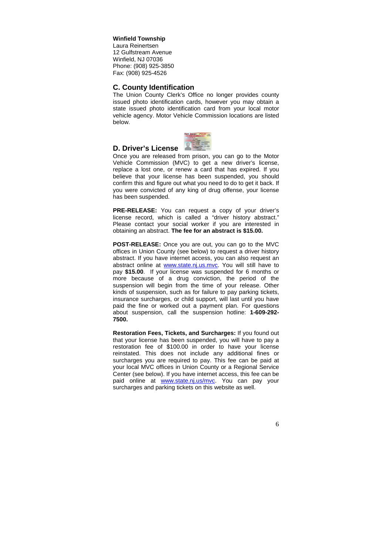#### **Winfield Township**

Laura Reinertsen 12 Gulfstream Avenue Winfield, NJ 07036 Phone: (908) 925-3850 Fax: (908) 925-4526

## **C. County Identification**

The Union County Clerk's Office no longer provides county issued photo identification cards, however you may obtain a state issued photo identification card from your local motor vehicle agency. Motor Vehicle Commission locations are listed below.



## **D. Driver's License**

Once you are released from prison, you can go to the Motor Vehicle Commission (MVC) to get a new driver's license, replace a lost one, or renew a card that has expired. If you believe that your license has been suspended, you should confirm this and figure out what you need to do to get it back. If you were convicted of any king of drug offense, your license has been suspended.

**PRE-RELEASE:** You can request a copy of your driver's license record, which is called a "driver history abstract." Please contact your social worker if you are interested in obtaining an abstract. **The fee for an abstract is \$15.00.**

**POST-RELEASE:** Once you are out, you can go to the MVC offices in Union County (see below) to request a driver history abstract. If you have internet access, you can also request an abstract online at www.state.nj.us.mvc. You will still have to pay **\$15.00**. If your license was suspended for 6 months or more because of a drug conviction, the period of the suspension will begin from the time of your release. Other kinds of suspension, such as for failure to pay parking tickets, insurance surcharges, or child support, will last until you have paid the fine or worked out a payment plan. For questions about suspension, call the suspension hotline: **1-609-292- 7500.** 

**Restoration Fees, Tickets, and Surcharges:** If you found out that your license has been suspended, you will have to pay a restoration fee of \$100.00 in order to have your license reinstated. This does not include any additional fines or surcharges you are required to pay. This fee can be paid at your local MVC offices in Union County or a Regional Service Center (see below). If you have internet access, this fee can be paid online at www.state.nj.us/mvc. You can pay your surcharges and parking tickets on this website as well.

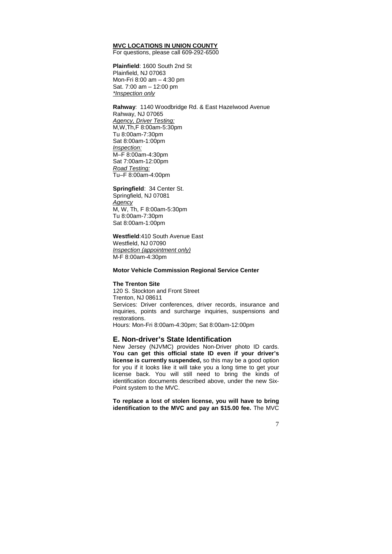## **MVC LOCATIONS IN UNION COUNTY**

For questions, please call 609-292-6500

**Plainfield**: 1600 South 2nd St Plainfield, NJ 07063 Mon-Fri 8:00 am – 4:30 pm Sat. 7:00 am – 12:00 pm \*Inspection only

**Rahway**: 1140 Woodbridge Rd. & East Hazelwood Avenue Rahway, NJ 07065 Agency, Driver Testing: M,W,Th,F 8:00am-5:30pm Tu 8:00am-7:30pm Sat 8:00am-1:00pm Inspection: M–F 8:00am-4:30pm Sat 7:00am-12:00pm Road Testing: Tu–F 8:00am-4:00pm

#### **Springfield**: 34 Center St. Springfield, NJ 07081 **Agency** M, W, Th, F 8:00am-5:30pm Tu 8:00am-7:30pm Sat 8:00am-1:00pm

**Westfield**:410 South Avenue East Westfield, NJ 07090 Inspection (appointment only) M-F 8:00am-4:30pm

#### **Motor Vehicle Commission Regional Service Center**

#### **The Trenton Site**

120 S. Stockton and Front Street Trenton, NJ 08611 Services: Driver conferences, driver records, insurance and inquiries, points and surcharge inquiries, suspensions and restorations. Hours: Mon-Fri 8:00am-4:30pm; Sat 8:00am-12:00pm

#### **E. Non-driver's State Identification**

New Jersey (NJVMC) provides Non-Driver photo ID cards. **You can get this official state ID even if your driver's license is currently suspended,** so this may be a good option for you if it looks like it will take you a long time to get your license back. You will still need to bring the kinds of identification documents described above, under the new Six-Point system to the MVC.

**To replace a lost of stolen license, you will have to bring identification to the MVC and pay an \$15.00 fee.** The MVC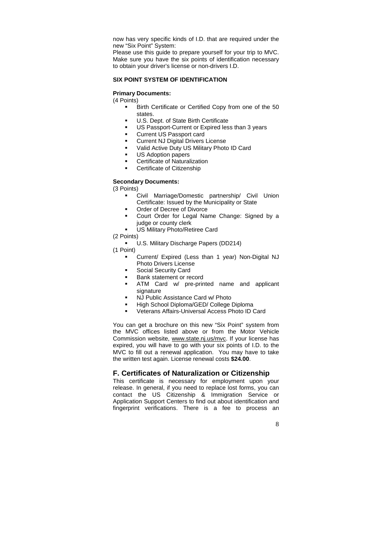now has very specific kinds of I.D. that are required under the new "Six Point" System:

Please use this guide to prepare yourself for your trip to MVC. Make sure you have the six points of identification necessary to obtain your driver's license or non-drivers I.D.

#### **SIX POINT SYSTEM OF IDENTIFICATION**

#### **Primary Documents:**

(4 Points)

- Birth Certificate or Certified Copy from one of the 50 states.
- U.S. Dept. of State Birth Certificate
- US Passport-Current or Expired less than 3 years
- Current US Passport card
- Current NJ Digital Drivers License
- Valid Active Duty US Military Photo ID Card
- US Adoption papers
- Certificate of Naturalization
- Certificate of Citizenship

#### **Secondary Documents:**

(3 Points)

- Civil Marriage/Domestic partnership/ Civil Union Certificate: Issued by the Municipality or State
- Order of Decree of Divorce
- Court Order for Legal Name Change: Signed by a judge or county clerk
- US Military Photo/Retiree Card
- (2 Points)
	- U.S. Military Discharge Papers (DD214)

(1 Point)

- Current/ Expired (Less than 1 year) Non-Digital NJ Photo Drivers License
- Social Security Card
- Bank statement or record
- ATM Card w/ pre-printed name and applicant signature
- NJ Public Assistance Card w/ Photo
- High School Diploma/GED/ College Diploma
- Veterans Affairs-Universal Access Photo ID Card

You can get a brochure on this new "Six Point" system from the MVC offices listed above or from the Motor Vehicle Commission website, www.state.nj.us/mvc. If your license has expired, you will have to go with your six points of I.D. to the MVC to fill out a renewal application. You may have to take the written test again. License renewal costs **\$24.00**.

## **F. Certificates of Naturalization or Citizenship**

This certificate is necessary for employment upon your release. In general, if you need to replace lost forms, you can contact the US Citizenship & Immigration Service or Application Support Centers to find out about identification and fingerprint verifications. There is a fee to process an

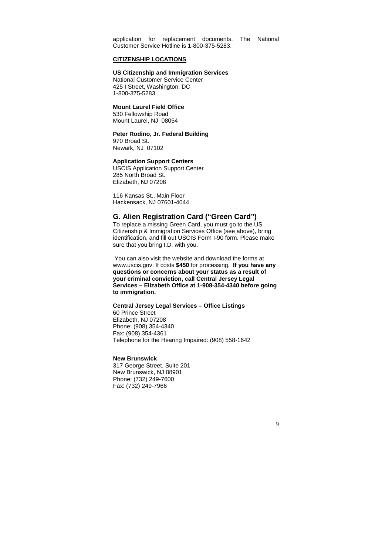application for replacement documents. The National Customer Service Hotline is 1-800-375-5283.

#### **CITIZENSHIP LOCATIONS**

#### **US Citizenship and Immigration Services**

National Customer Service Center 425 I Street, Washington, DC 1-800-375-5283

#### **Mount Laurel Field Office**

530 Fellowship Road Mount Laurel, NJ 08054

#### **Peter Rodino, Jr. Federal Building**

970 Broad St. Newark, NJ 07102

## **Application Support Centers**

USCIS Application Support Center 285 North Broad St. Elizabeth, NJ 07208

116 Kansas St., Main Floor Hackensack, NJ 07601-4044

## **G. Alien Registration Card ("Green Card")**

To replace a missing Green Card, you must go to the US Citizenship & Immigration Services Office (see above), bring identification, and fill out USCIS Form I-90 form. Please make sure that you bring I.D. with you.

 You can also visit the website and download the forms at www.uscis.gov. It costs **\$450** for processing. **If you have any questions or concerns about your status as a result of your criminal conviction, call Central Jersey Legal Services – Elizabeth Office at 1-908-354-4340 before going to immigration.** 

#### **Central Jersey Legal Services – Office Listings**  60 Prince Street

Elizabeth, NJ 07208 Phone: (908) 354-4340 Fax: (908) 354-4361 Telephone for the Hearing Impaired: (908) 558-1642

#### **New Brunswick**

317 George Street, Suite 201 New Brunswick, NJ 08901 Phone: (732) 249-7600 Fax: (732) 249-7966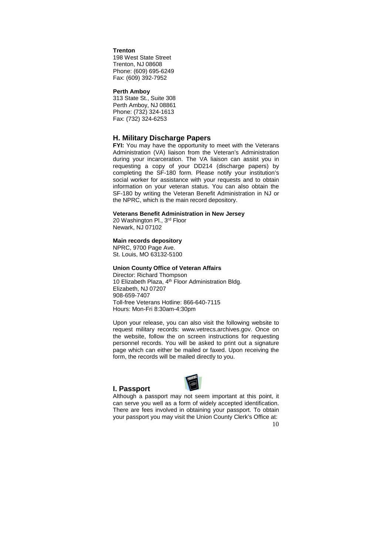#### **Trenton**

198 West State Street Trenton, NJ 08608 Phone: (609) 695-6249 Fax: (609) 392-7952

#### **Perth Amboy**

313 State St., Suite 308 Perth Amboy, NJ 08861 Phone: (732) 324-1613 Fax: (732) 324-6253

#### **H. Military Discharge Papers**

**FYI:** You may have the opportunity to meet with the Veterans Administration (VA) liaison from the Veteran's Administration during your incarceration. The VA liaison can assist you in requesting a copy of your DD214 (discharge papers) by completing the SF-180 form. Please notify your institution's social worker for assistance with your requests and to obtain information on your veteran status. You can also obtain the SF-180 by writing the Veteran Benefit Administration in NJ or the NPRC, which is the main record depository.

#### **Veterans Benefit Administration in New Jersey**

20 Washington Pl., 3rd Floor Newark, NJ 07102

#### **Main records depository**

NPRC, 9700 Page Ave. St. Louis, MO 63132-5100

## **Union County Office of Veteran Affairs**

Director: Richard Thompson 10 Elizabeth Plaza, 4<sup>th</sup> Floor Administration Bldg. Elizabeth, NJ 07207 908-659-7407 Toll-free Veterans Hotline: 866-640-7115 Hours: Mon-Fri 8:30am-4:30pm

Upon your release, you can also visit the following website to request military records: www.vetrecs.archives.gov. Once on the website, follow the on screen instructions for requesting personnel records. You will be asked to print out a signature page which can either be mailed or faxed. Upon receiving the form, the records will be mailed directly to you.

#### **I. Passport**



Although a passport may not seem important at this point, it can serve you well as a form of widely accepted identification. There are fees involved in obtaining your passport. To obtain your passport you may visit the Union County Clerk's Office at: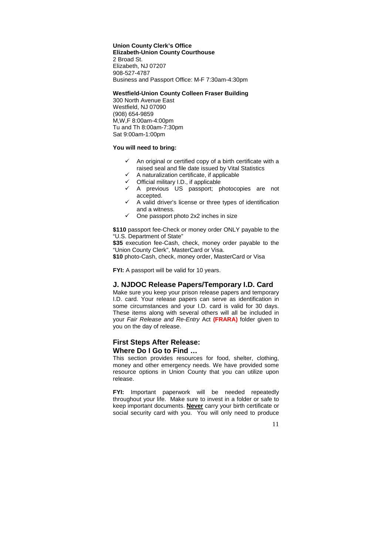**Union County Clerk's Office Elizabeth-Union County Courthouse**  2 Broad St. Elizabeth, NJ 07207 908-527-4787 Business and Passport Office: M-F 7:30am-4:30pm

#### **Westfield-Union County Colleen Fraser Building**

300 North Avenue East Westfield, NJ 07090 (908) 654-9859 M,W,F 8:00am-4:00pm Tu and Th 8:00am-7:30pm Sat 9:00am-1:00pm

## **You will need to bring:**

- $\checkmark$  An original or certified copy of a birth certificate with a raised seal and file date issued by Vital Statistics
- $\checkmark$ A naturalization certificate, if applicable
- $\checkmark$  Official military I.D., if applicable
- A previous US passport; photocopies are not accepted.
- $\checkmark$  A valid driver's license or three types of identification and a witness.
- $\checkmark$  One passport photo 2x2 inches in size

**\$110** passport fee-Check or money order ONLY payable to the "U.S. Department of State"

**\$35** execution fee-Cash, check, money order payable to the "Union County Clerk", MasterCard or Visa.

**\$10** photo-Cash, check, money order, MasterCard or Visa

**FYI:** A passport will be valid for 10 years.

## **J. NJDOC Release Papers/Temporary I.D. Card**

Make sure you keep your prison release papers and temporary I.D. card. Your release papers can serve as identification in some circumstances and your I.D. card is valid for 30 days. These items along with several others will all be included in your Fair Release and Re-Entry Act **(FRARA)** folder given to you on the day of release.

## **First Steps After Release: Where Do I Go to Find …**

This section provides resources for food, shelter, clothing, money and other emergency needs. We have provided some resource options in Union County that you can utilize upon release.

**FYI:** Important paperwork will be needed repeatedly throughout your life. Make sure to invest in a folder or safe to keep important documents. **Never** carry your birth certificate or social security card with you. You will only need to produce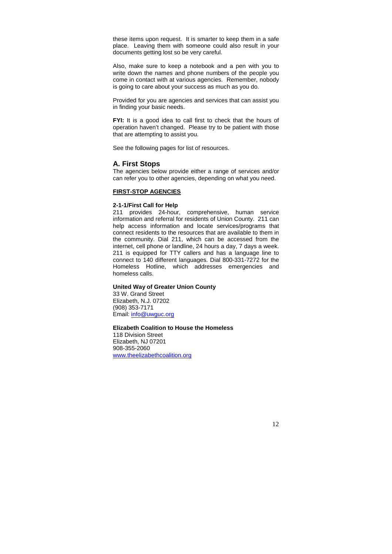these items upon request. It is smarter to keep them in a safe place. Leaving them with someone could also result in your documents getting lost so be very careful.

Also, make sure to keep a notebook and a pen with you to write down the names and phone numbers of the people you come in contact with at various agencies. Remember, nobody is going to care about your success as much as you do.

Provided for you are agencies and services that can assist you in finding your basic needs.

**FYI:** It is a good idea to call first to check that the hours of operation haven't changed. Please try to be patient with those that are attempting to assist you.

See the following pages for list of resources.

#### **A. First Stops**

The agencies below provide either a range of services and/or can refer you to other agencies, depending on what you need.

#### **FIRST-STOP AGENCIES**

#### **2-1-1/First Call for Help**

211 provides 24-hour, comprehensive, human service information and referral for residents of Union County. 211 can help access information and locate services/programs that connect residents to the resources that are available to them in the community. Dial 211, which can be accessed from the internet, cell phone or landline, 24 hours a day, 7 days a week. 211 is equipped for TTY callers and has a language line to connect to 140 different languages. Dial 800-331-7272 for the Homeless Hotline, which addresses emergencies and homeless calls.

## **United Way of Greater Union County**

33 W. Grand Street Elizabeth, N.J. 07202 (908) 353-7171 Email: info@uwguc.org

## **Elizabeth Coalition to House the Homeless**

118 Division Street Elizabeth, NJ 07201 908-355-2060 www.theelizabethcoalition.org

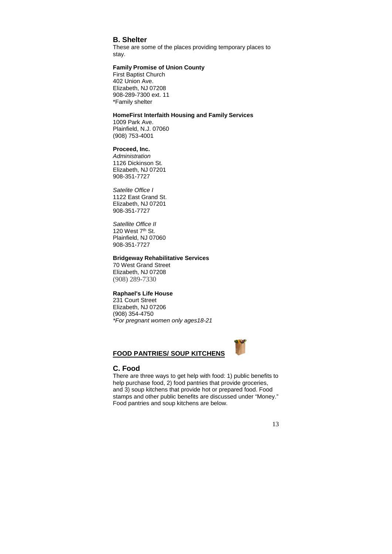## **B. Shelter**

These are some of the places providing temporary places to stay.

## **Family Promise of Union County**

First Baptist Church 402 Union Ave. Elizabeth, NJ 07208 908-289-7300 ext. 11 \*Family shelter

## **HomeFirst Interfaith Housing and Family Services**

1009 Park Ave. Plainfield, N.J. 07060 (908) 753-4001

#### **Proceed, Inc.**

Administration 1126 Dickinson St. Elizabeth, NJ 07201 908-351-7727

Satelite Office I 1122 East Grand St. Elizabeth, NJ 07201 908-351-7727

Satellite Office II 120 West 7<sup>th</sup> St. Plainfield, NJ 07060 908-351-7727

#### **Bridgeway Rehabilitative Services**

70 West Grand Street Elizabeth, NJ 07208 (908) 289-7330

#### **Raphael's Life House**

231 Court Street Elizabeth, NJ 07206 (908) 354-4750 \*For pregnant women only ages18-21

## **FOOD PANTRIES/ SOUP KITCHENS**



#### **C. Food**

There are three ways to get help with food: 1) public benefits to help purchase food, 2) food pantries that provide groceries, and 3) soup kitchens that provide hot or prepared food. Food stamps and other public benefits are discussed under "Money." Food pantries and soup kitchens are below.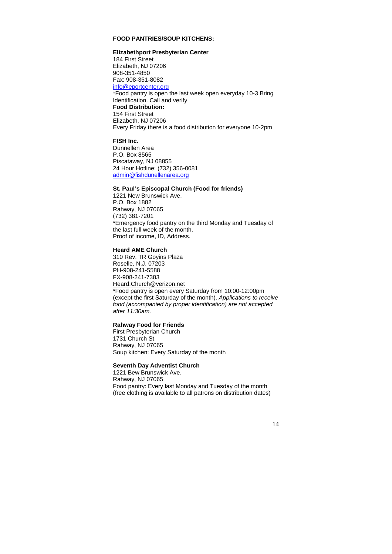## **FOOD PANTRIES/SOUP KITCHENS:**

#### **Elizabethport Presbyterian Center**

184 First Street Elizabeth, NJ 07206 908-351-4850 Fax: 908-351-8082 info@eportcenter.org \*Food pantry is open the last week open everyday 10-3 Bring Identification. Call and verify **Food Distribution:**  154 First Street Elizabeth, NJ 07206 Every Friday there is a food distribution for everyone 10-2pm

## **FISH Inc.**

Dunnellen Area P.O. Box 8565 Piscataway, NJ 08855 24 Hour Hotline: (732) 356-0081 admin@fishdunellenarea.org

## **St. Paul's Episcopal Church (Food for friends)**

1221 New Brunswick Ave. P.O. Box 1882 Rahway, NJ 07065 (732) 381-7201 \*Emergency food pantry on the third Monday and Tuesday of the last full week of the month. Proof of income, ID, Address.

#### **Heard AME Church**

310 Rev. TR Goyins Plaza Roselle, N.J. 07203 PH-908-241-5588 FX-908-241-7383 Heard.Church@verizon.net \*Food pantry is open every Saturday from 10:00-12:00pm (except the first Saturday of the month). Applications to receive food (accompanied by proper identification) are not accepted after 11:30am.

## **Rahway Food for Friends**

First Presbyterian Church 1731 Church St. Rahway, NJ 07065 Soup kitchen: Every Saturday of the month

#### **Seventh Day Adventist Church**

1221 Bew Brunswick Ave. Rahway, NJ 07065 Food pantry: Every last Monday and Tuesday of the month (free clothing is available to all patrons on distribution dates)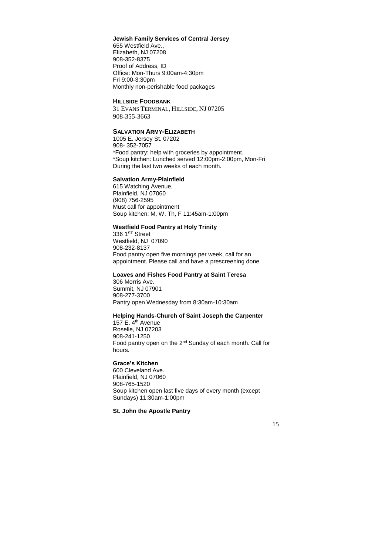## **Jewish Family Services of Central Jersey**

655 Westfield Ave., Elizabeth, NJ 07208 908-352-8375 Proof of Address, ID Office: Mon-Thurs 9:00am-4:30pm Fri 9:00-3:30pm Monthly non-perishable food packages

#### **HILLSIDE FOODBANK**

31 EVANS TERMINAL, HILLSIDE, NJ 07205 908-355-3663

## **SALVATION ARMY-ELIZABETH**

1005 E. Jersey St. 07202 908- 352-7057 \*Food pantry: help with groceries by appointment. \*Soup kitchen: Lunched served 12:00pm-2:00pm, Mon-Fri During the last two weeks of each month.

#### **Salvation Army-Plainfield**

615 Watching Avenue, Plainfield, NJ 07060 (908) 756-2595 Must call for appointment Soup kitchen: M, W, Th, F 11:45am-1:00pm

## **Westfield Food Pantry at Holy Trinity**

336 1<sup>ST</sup> Street Westfield, NJ 07090 908-232-8137 Food pantry open five mornings per week, call for an appointment. Please call and have a prescreening done

#### **Loaves and Fishes Food Pantry at Saint Teresa**

306 Morris Ave. Summit, NJ 07901 908-277-3700 Pantry open Wednesday from 8:30am-10:30am

#### **Helping Hands-Church of Saint Joseph the Carpenter**

157 E.  $4<sup>th</sup>$  Avenue Roselle, NJ 07203 908-241-1250 Food pantry open on the 2nd Sunday of each month. Call for hours.

#### **Grace's Kitchen**

600 Cleveland Ave. Plainfield, NJ 07060 908-765-1520 Soup kitchen open last five days of every month (except Sundays) 11:30am-1:00pm

#### **St. John the Apostle Pantry**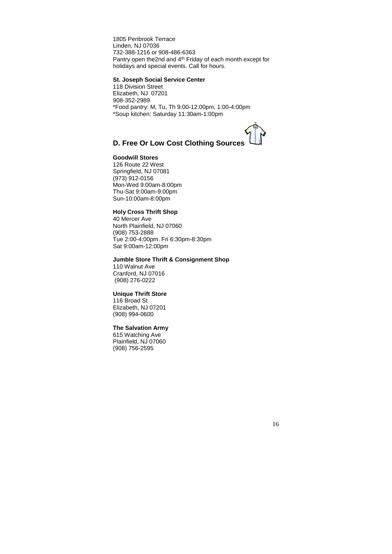1805 Penbrook Terrace Linden, NJ 07036 732-388-1216 or 908-486-6363 Pantry open the2nd and 4<sup>th</sup> Friday of each month except for holidays and special events. Call for hours.

#### **St. Joseph Social Service Center**

118 Division Street Elizabeth, NJ 07201 908-352-2989 \*Food pantry: M, Tu, Th 9:00-12:00pm, 1:00-4:00pm \*Soup kitchen: Saturday 11:30am-1:00pm



## **D. Free Or Low Cost Clothing Sources**

## **Goodwill Stores**

126 Route 22 West Springfield, NJ 07081 (973) 912-0156 Mon-Wed 9:00am-8:00pm Thu-Sat 9:00am-9:00pm Sun-10:00am-8:00pm

## **Holy Cross Thrift Shop**

40 Mercer Ave North Plainfield, NJ 07060 (908) 753-2888 Tue 2:00-4:00pm. Fri 6:30pm-8:30pm Sat 9:00am-12:00pm

#### **Jumble Store Thrift & Consignment Shop**

110 Walnut Ave Cranford, NJ 07016 (908) 276-0222

## **Unique Thrift Store**

116 Broad St Elizabeth, NJ 07201 (908) 994-0600

## **The Salvation Army**

615 Watching Ave Plainfield, NJ 07060 (908) 756-2595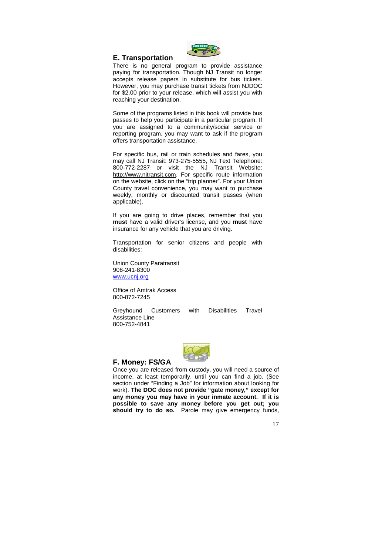

#### **E. Transportation**

There is no general program to provide assistance paying for transportation. Though NJ Transit no longer accepts release papers in substitute for bus tickets. However, you may purchase transit tickets from NJDOC for \$2.00 prior to your release, which will assist you with reaching your destination.

Some of the programs listed in this book will provide bus passes to help you participate in a particular program. If you are assigned to a community/social service or reporting program, you may want to ask if the program offers transportation assistance.

For specific bus, rail or train schedules and fares, you may call NJ Transit: 973-275-5555, NJ Text Telephone: 800-772-2287 or visit the NJ Transit Website: http://www.njtransit.com. For specific route information on the website, click on the "trip planner". For your Union County travel convenience, you may want to purchase weekly, monthly or discounted transit passes (when applicable).

If you are going to drive places, remember that you **must** have a valid driver's license, and you **must** have insurance for any vehicle that you are driving.

Transportation for senior citizens and people with disabilities:

Union County Paratransit 908-241-8300 www.ucnj.org

Office of Amtrak Access 800-872-7245

Greyhound Customers with Disabilities Travel Assistance Line 800-752-4841



#### **F. Money: FS/GA**

Once you are released from custody, you will need a source of income, at least temporarily, until you can find a job. (See section under "Finding a Job" for information about looking for work). **The DOC does not provide "gate money," except for any money you may have in your inmate account. If it is possible to save any money before you get out; you should try to do so.** Parole may give emergency funds,

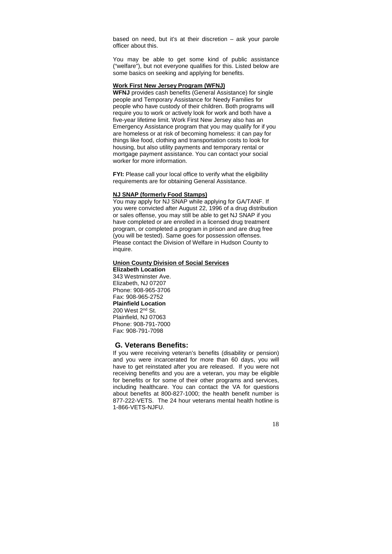based on need, but it's at their discretion – ask your parole officer about this.

You may be able to get some kind of public assistance ("welfare"), but not everyone qualifies for this. Listed below are some basics on seeking and applying for benefits.

#### **Work First New Jersey Program (WFNJ)**

**WFNJ** provides cash benefits (General Assistance) for single people and Temporary Assistance for Needy Families for people who have custody of their children. Both programs will require you to work or actively look for work and both have a five-year lifetime limit. Work First New Jersey also has an Emergency Assistance program that you may qualify for if you are homeless or at risk of becoming homeless: it can pay for things like food, clothing and transportation costs to look for housing, but also utility payments and temporary rental or mortgage payment assistance. You can contact your social worker for more information.

**FYI:** Please call your local office to verify what the eligibility requirements are for obtaining General Assistance.

#### **NJ SNAP (formerly Food Stamps)**

You may apply for NJ SNAP while applying for GA/TANF. If you were convicted after August 22, 1996 of a drug distribution or sales offense, you may still be able to get NJ SNAP if you have completed or are enrolled in a licensed drug treatment program, or completed a program in prison and are drug free (you will be tested). Same goes for possession offenses. Please contact the Division of Welfare in Hudson County to inquire.

#### **Union County Division of Social Services**

**Elizabeth Location**  343 Westminster Ave. Elizabeth, NJ 07207 Phone: 908-965-3706 Fax: 908-965-2752 **Plainfield Location**  200 West 2nd St. Plainfield, NJ 07063 Phone: 908-791-7000 Fax: 908-791-7098

#### **G. Veterans Benefits:**

If you were receiving veteran's benefits (disability or pension) and you were incarcerated for more than 60 days, you will have to get reinstated after you are released. If you were not receiving benefits and you are a veteran, you may be eligible for benefits or for some of their other programs and services, including healthcare. You can contact the VA for questions about benefits at 800-827-1000; the health benefit number is 877-222-VETS. The 24 hour veterans mental health hotline is 1-866-VETS-NJFU.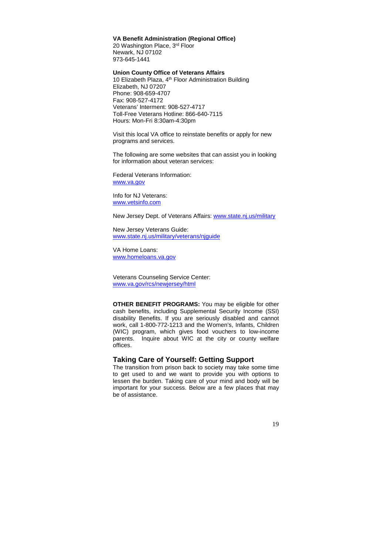#### **VA Benefit Administration (Regional Office)**

20 Washington Place, 3rd Floor Newark, NJ 07102 973-645-1441

#### **Union County Office of Veterans Affairs**

10 Elizabeth Plaza, 4<sup>th</sup> Floor Administration Building Elizabeth, NJ 07207 Phone: 908-659-4707 Fax: 908-527-4172 Veterans' Interment: 908-527-4717 Toll-Free Veterans Hotline: 866-640-7115 Hours: Mon-Fri 8:30am-4:30pm

Visit this local VA office to reinstate benefits or apply for new programs and services.

The following are some websites that can assist you in looking for information about veteran services:

Federal Veterans Information: www.va.gov

Info for NJ Veterans: www.vetsinfo.com

New Jersey Dept. of Veterans Affairs: www.state.nj.us/military

New Jersey Veterans Guide: www.state.nj.us/military/veterans/njguide

VA Home Loans: www.homeloans.va.gov

Veterans Counseling Service Center: www.va.gov/rcs/newjersey/html

**OTHER BENEFIT PROGRAMS:** You may be eligible for other cash benefits, including Supplemental Security Income (SSI) disability Benefits. If you are seriously disabled and cannot work, call 1-800-772-1213 and the Women's, Infants, Children (WIC) program, which gives food vouchers to low-income parents. Inquire about WIC at the city or county welfare offices.

## **Taking Care of Yourself: Getting Support**

The transition from prison back to society may take some time to get used to and we want to provide you with options to lessen the burden. Taking care of your mind and body will be important for your success. Below are a few places that may be of assistance.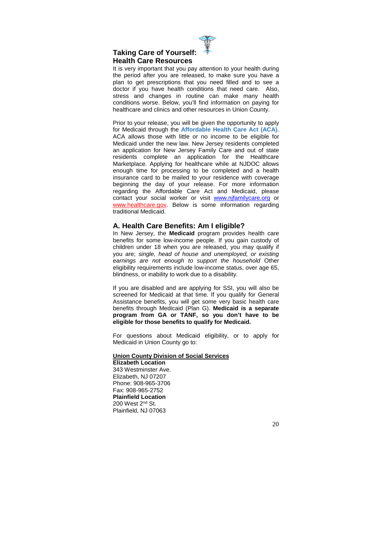

## **Taking Care of Yourself: Health Care Resources**

It is very important that you pay attention to your health during the period after you are released, to make sure you have a plan to get prescriptions that you need filled and to see a doctor if you have health conditions that need care. Also, stress and changes in routine can make many health conditions worse. Below, you'll find information on paying for healthcare and clinics and other resources in Union County.

Prior to your release, you will be given the opportunity to apply for Medicaid through the **Affordable Health Care Act (ACA).** ACA allows those with little or no income to be eligible for Medicaid under the new law. New Jersey residents completed an application for New Jersey Family Care and out of state residents complete an application for the Healthcare Marketplace. Applying for healthcare while at NJDOC allows enough time for processing to be completed and a health insurance card to be mailed to your residence with coverage beginning the day of your release. For more information regarding the Affordable Care Act and Medicaid, please contact your social worker or visit www.njfamilycare.org or www.healthcare.gov. Below is some information regarding traditional Medicaid.

## **A. Health Care Benefits: Am I eligible?**

In New Jersey, the **Medicaid** program provides health care benefits for some low-income people. If you gain custody of children under 18 when you are released, you may qualify if you are; single, head of house and unemployed, or existing earnings are not enough to support the household Other eligibility requirements include low-income status, over age 65, blindness, or inability to work due to a disability.

If you are disabled and are applying for SSI, you will also be screened for Medicaid at that time. If you qualify for General Assistance benefits, you will get some very basic health care benefits through Medicaid (Plan G). **Medicaid is a separate program from GA or TANF, so you don't have to be eligible for those benefits to qualify for Medicaid.** 

For questions about Medicaid eligibility, or to apply for Medicaid in Union County go to:

#### **Union County Division of Social Services**

**Elizabeth Location**  343 Westminster Ave. Elizabeth, NJ 07207 Phone: 908-965-3706 Fax: 908-965-2752 **Plainfield Location**  200 West 2nd St. Plainfield, NJ 07063

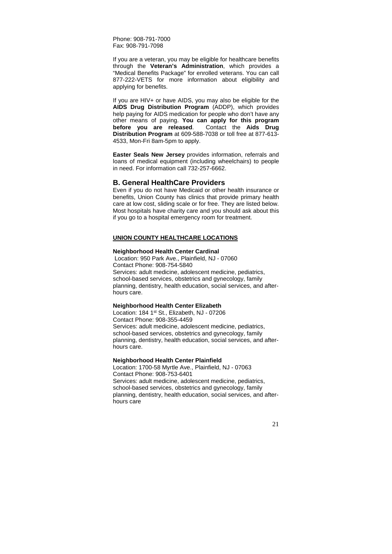Phone: 908-791-7000 Fax: 908-791-7098

If you are a veteran, you may be eligible for healthcare benefits through the **Veteran's Administration**, which provides a "Medical Benefits Package" for enrolled veterans. You can call 877-222-VETS for more information about eligibility and applying for benefits.

If you are HIV+ or have AIDS, you may also be eligible for the **AIDS Drug Distribution Program** (ADDP), which provides help paying for AIDS medication for people who don't have any other means of paying. **You can apply for this program before you are released**. Contact the **Aids Drug Distribution Program** at 609-588-7038 or toll free at 877-613- 4533, Mon-Fri 8am-5pm to apply.

**Easter Seals New Jersey** provides information, referrals and loans of medical equipment (including wheelchairs) to people in need. For information call 732-257-6662.

#### **B. General HealthCare Providers**

Even if you do not have Medicaid or other health insurance or benefits, Union County has clinics that provide primary health care at low cost, sliding scale or for free. They are listed below. Most hospitals have charity care and you should ask about this if you go to a hospital emergency room for treatment.

#### **UNION COUNTY HEALTHCARE LOCATIONS**

#### **Neighborhood Health Center Cardinal**

 Location: 950 Park Ave., Plainfield, NJ - 07060 Contact Phone: 908-754-5840 Services: adult medicine, adolescent medicine, pediatrics, school-based services, obstetrics and gynecology, family planning, dentistry, health education, social services, and afterhours care.

#### **Neighborhood Health Center Elizabeth**

Location: 184 1st St., Elizabeth, NJ - 07206 Contact Phone: 908-355-4459 Services: adult medicine, adolescent medicine, pediatrics, school-based services, obstetrics and gynecology, family planning, dentistry, health education, social services, and afterhours care.

#### **Neighborhood Health Center Plainfield**

Location: 1700-58 Myrtle Ave., Plainfield, NJ - 07063 Contact Phone: 908-753-6401 Services: adult medicine, adolescent medicine, pediatrics, school-based services, obstetrics and gynecology, family planning, dentistry, health education, social services, and afterhours care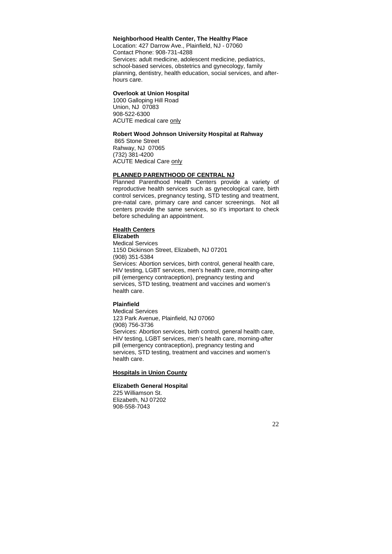#### **Neighborhood Health Center, The Healthy Place**

Location: 427 Darrow Ave., Plainfield, NJ - 07060 Contact Phone: 908-731-4288 Services: adult medicine, adolescent medicine, pediatrics, school-based services, obstetrics and gynecology, family planning, dentistry, health education, social services, and afterhours care.

#### **Overlook at Union Hospital**

1000 Galloping Hill Road Union, NJ 07083 908-522-6300 ACUTE medical care only

#### **Robert Wood Johnson University Hospital at Rahway**

 865 Stone Street Rahway, NJ 07065 (732) 381-4200 **ACUTE Medical Care only** 

#### **PLANNED PARENTHOOD OF CENTRAL NJ**

Planned Parenthood Health Centers provide a variety of reproductive health services such as gynecological care, birth control services, pregnancy testing, STD testing and treatment, pre-natal care, primary care and cancer screenings. Not all centers provide the same services, so it's important to check before scheduling an appointment.

#### **Health Centers**

**Elizabeth**  Medical Services 1150 Dickinson Street, Elizabeth, NJ 07201 (908) 351-5384 Services: Abortion services, birth control, general health care, HIV testing, LGBT services, men's health care, morning-after pill (emergency contraception), pregnancy testing and services, STD testing, treatment and vaccines and women's health care.

#### **Plainfield**

Medical Services 123 Park Avenue, Plainfield, NJ 07060 (908) 756-3736 Services: Abortion services, birth control, general health care, HIV testing, LGBT services, men's health care, morning-after pill (emergency contraception), pregnancy testing and services, STD testing, treatment and vaccines and women's health care.

#### **Hospitals in Union County**

#### **Elizabeth General Hospital**

225 Williamson St. Elizabeth, NJ 07202 908-558-7043

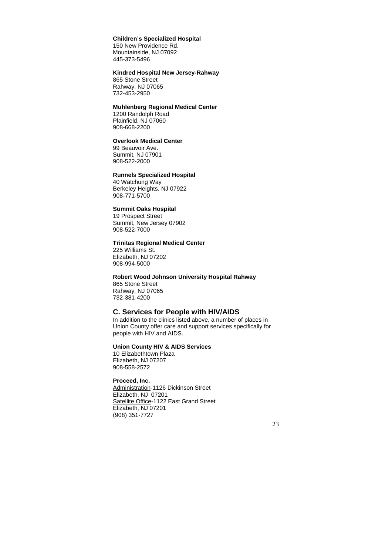## **Children's Specialized Hospital**

150 New Providence Rd. Mountainside, NJ 07092 445-373-5496

#### **Kindred Hospital New Jersey-Rahway**

865 Stone Street Rahway, NJ 07065 732-453-2950

## **Muhlenberg Regional Medical Center**

1200 Randolph Road Plainfield, NJ 07060 908-668-2200

## **Overlook Medical Center**

99 Beauvoir Ave. Summit, NJ 07901 908-522-2000

#### **Runnels Specialized Hospital**

40 Watchung Way Berkeley Heights, NJ 07922 908-771-5700

## **Summit Oaks Hospital**

19 Prospect Street Summit, New Jersey 07902 908-522-7000

#### **Trinitas Regional Medical Center**

225 Williams St. Elizabeth, NJ 07202 908-994-5000

#### **Robert Wood Johnson University Hospital Rahway**

865 Stone Street Rahway, NJ 07065 732-381-4200

#### **C. Services for People with HIV/AIDS**

In addition to the clinics listed above, a number of places in Union County offer care and support services specifically for people with HIV and AIDS.

## **Union County HIV & AIDS Services**

10 Elizabethtown Plaza Elizabeth, NJ 07207 908-558-2572

## **Proceed, Inc.**

Administration-1126 Dickinson Street Elizabeth, NJ 07201 Satellite Office-1122 East Grand Street Elizabeth, NJ 07201 (908) 351-7727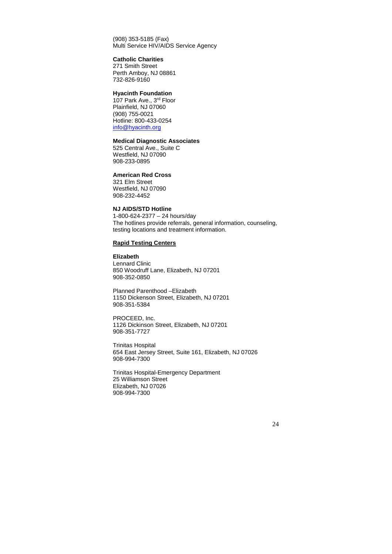(908) 353-5185 (Fax) Multi Service HIV/AIDS Service Agency

#### **Catholic Charities**

271 Smith Street Perth Amboy, NJ 08861 732-826-9160

## **Hyacinth Foundation**

107 Park Ave., 3rd Floor Plainfield, NJ 07060 (908) 755-0021 Hotline: 800-433-0254 info@hyacinth.org

## **Medical Diagnostic Associates**

525 Central Ave., Suite C Westfield, NJ 07090 908-233-0895

#### **American Red Cross**

321 Elm Street Westfield, NJ 07090 908-232-4452

## **NJ AIDS/STD Hotline**

1-800-624-2377 – 24 hours/day The hotlines provide referrals, general information, counseling, testing locations and treatment information.

## **Rapid Testing Centers**

**Elizabeth**  Lennard Clinic 850 Woodruff Lane, Elizabeth, NJ 07201 908-352-0850

Planned Parenthood –Elizabeth 1150 Dickenson Street, Elizabeth, NJ 07201 908-351-5384

PROCEED, Inc. 1126 Dickinson Street, Elizabeth, NJ 07201 908-351-7727

Trinitas Hospital 654 East Jersey Street, Suite 161, Elizabeth, NJ 07026 908-994-7300

Trinitas Hospital-Emergency Department 25 Williamson Street Elizabeth, NJ 07026 908-994-7300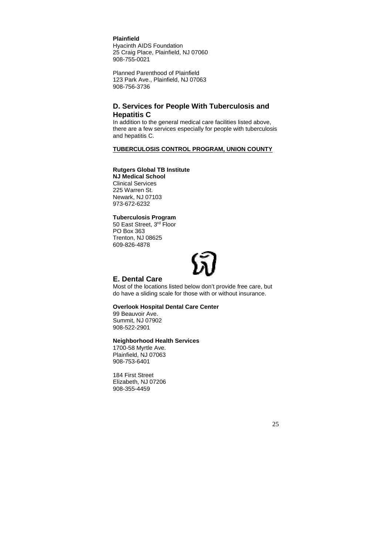**Plainfield** 

Hyacinth AIDS Foundation 25 Craig Place, Plainfield, NJ 07060 908-755-0021

Planned Parenthood of Plainfield 123 Park Ave., Plainfield, NJ 07063 908-756-3736

## **D. Services for People With Tuberculosis and Hepatitis C**

In addition to the general medical care facilities listed above, there are a few services especially for people with tuberculosis and hepatitis C.

## **TUBERCULOSIS CONTROL PROGRAM, UNION COUNTY**

## **Rutgers Global TB Institute**

**NJ Medical School**  Clinical Services 225 Warren St. Newark, NJ 07103 973-672-6232

**Tuberculosis Program**  50 East Street, 3rd Floor

PO Box 363 Trenton, NJ 08625 609-826-4878

## **E. Dental Care**

Most of the locations listed below don't provide free care, but do have a sliding scale for those with or without insurance.

#### **Overlook Hospital Dental Care Center**

99 Beauvoir Ave. Summit, NJ 07902 908-522-2901

#### **Neighborhood Health Services**

1700-58 Myrtle Ave. Plainfield, NJ 07063 908-753-6401

184 First Street Elizabeth, NJ 07206 908-355-4459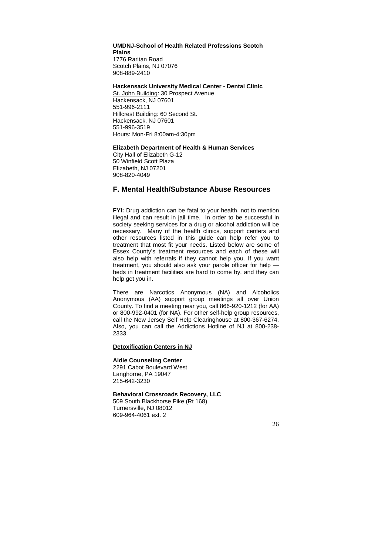#### **UMDNJ-School of Health Related Professions Scotch Plains**  1776 Raritan Road Scotch Plains, NJ 07076 908-889-2410

**Hackensack University Medical Center - Dental Clinic** 

St. John Building: 30 Prospect Avenue Hackensack, NJ 07601 551-996-2111 Hillcrest Building: 60 Second St. Hackensack, NJ 07601 551-996-3519 Hours: Mon-Fri 8:00am-4:30pm

#### **Elizabeth Department of Health & Human Services**

City Hall of Elizabeth G-12 50 Winfield Scott Plaza Elizabeth, NJ 07201 908-820-4049

## **F. Mental Health/Substance Abuse Resources**

**FYI:** Drug addiction can be fatal to your health, not to mention illegal and can result in jail time. In order to be successful in society seeking services for a drug or alcohol addiction will be necessary. Many of the health clinics, support centers and other resources listed in this guide can help refer you to treatment that most fit your needs. Listed below are some of Essex County's treatment resources and each of these will also help with referrals if they cannot help you. If you want treatment, you should also ask your parole officer for help beds in treatment facilities are hard to come by, and they can help get you in.

There are Narcotics Anonymous (NA) and Alcoholics Anonymous (AA) support group meetings all over Union County. To find a meeting near you, call 866-920-1212 (for AA) or 800-992-0401 (for NA). For other self-help group resources, call the New Jersey Self Help Clearinghouse at 800-367-6274. Also, you can call the Addictions Hotline of NJ at 800-238- 2333.

#### **Detoxification Centers in NJ**

#### **Aldie Counseling Center**

2291 Cabot Boulevard West Langhorne, PA 19047 215-642-3230

#### **Behavioral Crossroads Recovery, LLC**

509 South Blackhorse Pike (Rt 168) Turnersville, NJ 08012 609-964-4061 ext. 2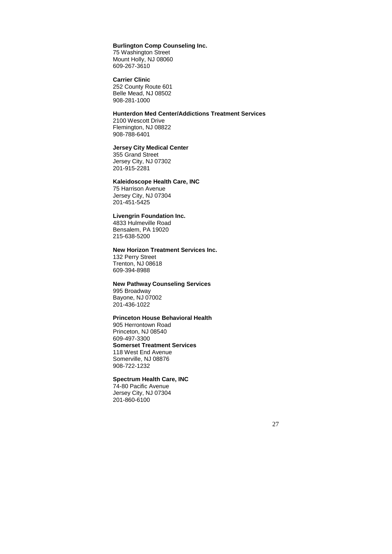#### **Burlington Comp Counseling Inc.**

75 Washington Street Mount Holly, NJ 08060 609-267-3610

**Carrier Clinic**  252 County Route 601 Belle Mead, NJ 08502 908-281-1000

## **Hunterdon Med Center/Addictions Treatment Services**

2100 Wescott Drive Flemington, NJ 08822 908-788-6401

#### **Jersey City Medical Center**

355 Grand Street Jersey City, NJ 07302 201-915-2281

#### **Kaleidoscope Health Care, INC**

75 Harrison Avenue Jersey City, NJ 07304 201-451-5425

#### **Livengrin Foundation Inc.**

4833 Hulmeville Road Bensalem, PA 19020 215-638-5200

## **New Horizon Treatment Services Inc.**

132 Perry Street Trenton, NJ 08618 609-394-8988

#### **New Pathway Counseling Services**

995 Broadway Bayone, NJ 07002 201-436-1022

## **Princeton House Behavioral Health**

905 Herrontown Road Princeton, NJ 08540 609-497-3300 **Somerset Treatment Services**  118 West End Avenue Somerville, NJ 08876 908-722-1232

## **Spectrum Health Care, INC**

74-80 Pacific Avenue Jersey City, NJ 07304 201-860-6100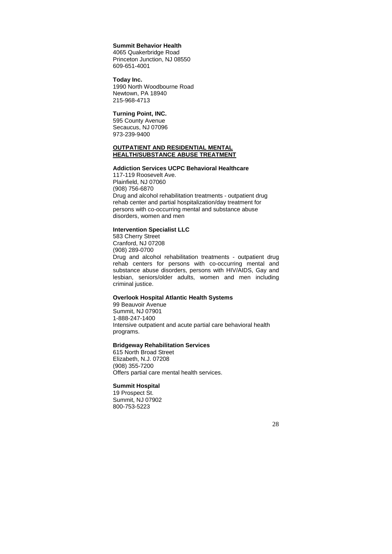#### **Summit Behavior Health**

4065 Quakerbridge Road Princeton Junction, NJ 08550 609-651-4001

**Today Inc.**  1990 North Woodbourne Road Newtown, PA 18940 215-968-4713

#### **Turning Point, INC.**

595 County Avenue Secaucus, NJ 07096 973-239-9400

#### **OUTPATIENT AND RESIDENTIAL MENTAL HEALTH/SUBSTANCE ABUSE TREATMENT**

#### **Addiction Services UCPC Behavioral Healthcare**

117-119 Roosevelt Ave. Plainfield, NJ 07060 (908) 756-6870 Drug and alcohol rehabilitation treatments - outpatient drug rehab center and partial hospitalization/day treatment for persons with co-occurring mental and substance abuse disorders, women and men

#### **Intervention Specialist LLC**

583 Cherry Street Cranford, NJ 07208 (908) 289-0700 Drug and alcohol rehabilitation treatments - outpatient drug rehab centers for persons with co-occurring mental and substance abuse disorders, persons with HIV/AIDS, Gay and lesbian, seniors/older adults, women and men including criminal justice.

#### **Overlook Hospital Atlantic Health Systems**

99 Beauvoir Avenue Summit, NJ 07901 1-888-247-1400 Intensive outpatient and acute partial care behavioral health programs.

#### **Bridgeway Rehabilitation Services**

615 North Broad Street Elizabeth, N.J. 07208 (908) 355-7200 Offers partial care mental health services.

## **Summit Hospital**

19 Prospect St. Summit, NJ 07902 800-753-5223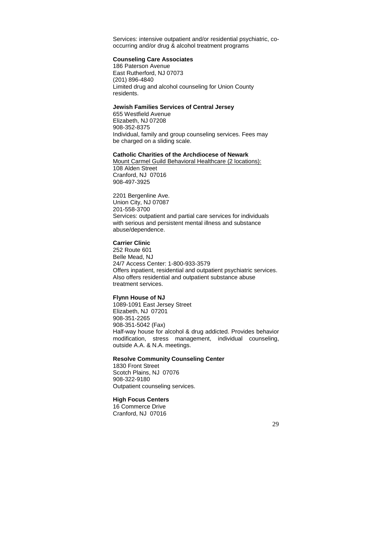Services: intensive outpatient and/or residential psychiatric, cooccurring and/or drug & alcohol treatment programs

#### **Counseling Care Associates**

186 Paterson Avenue East Rutherford, NJ 07073 (201) 896-4840 Limited drug and alcohol counseling for Union County residents.

#### **Jewish Families Services of Central Jersey**

655 Westfield Avenue Elizabeth, NJ 07208 908-352-8375 Individual, family and group counseling services. Fees may be charged on a sliding scale.

#### **Catholic Charities of the Archdiocese of Newark**

Mount Carmel Guild Behavioral Healthcare (2 locations): 108 Alden Street Cranford, NJ 07016 908-497-3925

2201 Bergenline Ave. Union City, NJ 07087 201-558-3700 Services: outpatient and partial care services for individuals with serious and persistent mental illness and substance abuse/dependence.

## **Carrier Clinic**

252 Route 601 Belle Mead, NJ 24/7 Access Center: 1-800-933-3579 Offers inpatient, residential and outpatient psychiatric services. Also offers residential and outpatient substance abuse treatment services.

#### **Flynn House of NJ**

1089-1091 East Jersey Street Elizabeth, NJ 07201 908-351-2265 908-351-5042 (Fax) Half-way house for alcohol & drug addicted. Provides behavior modification, stress management, individual counseling, outside A.A. & N.A. meetings.

#### **Resolve Community Counseling Center**

1830 Front Street Scotch Plains, NJ 07076 908-322-9180 Outpatient counseling services.

## **High Focus Centers**

16 Commerce Drive Cranford, NJ 07016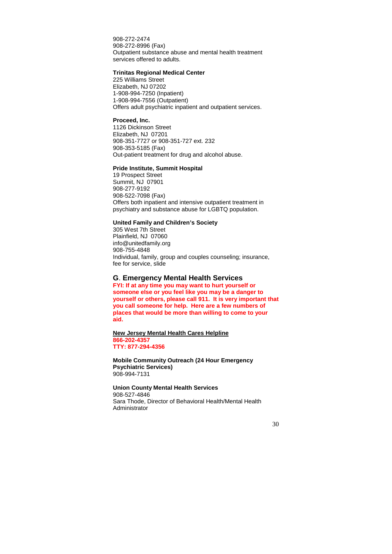908-272-2474 908-272-8996 (Fax) Outpatient substance abuse and mental health treatment services offered to adults.

#### **Trinitas Regional Medical Center**

225 Williams Street Elizabeth, NJ 07202 1-908-994-7250 (Inpatient) 1-908-994-7556 (Outpatient) Offers adult psychiatric inpatient and outpatient services.

#### **Proceed, Inc.**

1126 Dickinson Street Elizabeth, NJ 07201 908-351-7727 or 908-351-727 ext. 232 908-353-5185 (Fax) Out-patient treatment for drug and alcohol abuse.

#### **Pride Institute, Summit Hospital**

19 Prospect Street Summit, NJ 07901 908-277-9192 908-522-7098 (Fax) Offers both inpatient and intensive outpatient treatment in psychiatry and substance abuse for LGBTQ population.

#### **United Family and Children's Society**

305 West 7th Street Plainfield, NJ 07060 info@unitedfamily.org 908-755-4848 Individual, family, group and couples counseling; insurance, fee for service, slide

## **G**. **Emergency Mental Health Services**

**FYI: If at any time you may want to hurt yourself or someone else or you feel like you may be a danger to yourself or others, please call 911. It is very important that you call someone for help. Here are a few numbers of places that would be more than willing to come to your aid.** 

**New Jersey Mental Health Cares Helpline 866-202-4357 TTY: 877-294-4356** 

**Mobile Community Outreach (24 Hour Emergency Psychiatric Services)**  908-994-7131

#### **Union County Mental Health Services**

908-527-4846 Sara Thode, Director of Behavioral Health/Mental Health Administrator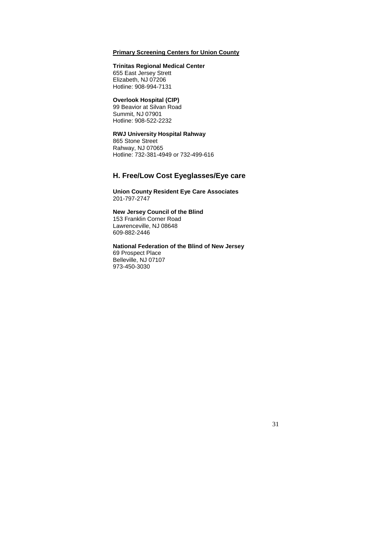## **Primary Screening Centers for Union County**

#### **Trinitas Regional Medical Center**

655 East Jersey Strett Elizabeth, NJ 07206 Hotline: 908-994-7131

#### **Overlook Hospital (CIP)**

99 Beavior at Silvan Road Summit, NJ 07901 Hotline: 908-522-2232

## **RWJ University Hospital Rahway**

865 Stone Street Rahway, NJ 07065 Hotline: 732-381-4949 or 732-499-616

## **H. Free/Low Cost Eyeglasses/Eye care**

**Union County Resident Eye Care Associates**  201-797-2747

#### **New Jersey Council of the Blind**

153 Franklin Corner Road Lawrenceville, NJ 08648 609-882-2446

## **National Federation of the Blind of New Jersey**

69 Prospect Place Belleville, NJ 07107 973-450-3030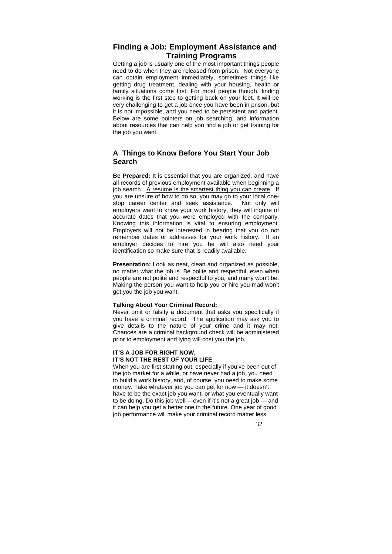## **Finding a Job: Employment Assistance and Training Programs**

Getting a job is usually one of the most important things people need to do when they are released from prison. Not everyone can obtain employment immediately, sometimes things like getting drug treatment, dealing with your housing, health or family situations come first. For most people though, finding working is the first step to getting back on your feet. It will be very challenging to get a job once you have been in prison, but it is not impossible, and you need to be persistent and patient. Below are some pointers on job searching, and information about resources that can help you find a job or get training for the job you want.

## **A**. **Things to Know Before You Start Your Job Search**

**Be Prepared:** It is essential that you are organized, and have all records of previous employment available when beginning a job search. A resume is the smartest thing you can create. If you are unsure of how to do so, you may go to your local onestop career center and seek assistance. Not only will employers want to know your work history, they will inquire of accurate dates that you were employed with the company. Knowing this information is vital to ensuring employment. Employers will not be interested in hearing that you do not remember dates or addresses for your work history. If an employer decides to hire you he will also need your identification so make sure that is readily available.

**Presentation:** Look as neat, clean and organized as possible. no matter what the job is. Be polite and respectful, even when people are not polite and respectful to you, and many won't be. Making the person you want to help you or hire you mad won't get you the job you want.

## **Talking About Your Criminal Record:**

Never omit or falsify a document that asks you specifically if you have a criminal record. The application may ask you to give details to the nature of your crime and it may not. Chances are a criminal background check will be administered prior to employment and lying will cost you the job.

## **IT'S A JOB FOR RIGHT NOW, IT'S NOT THE REST OF YOUR LIFE**

When you are first starting out, especially if you've been out of the job market for a while, or have never had a job, you need to build a work history, and, of course, you need to make some money. Take whatever job you can get for now — it doesn't have to be the exact job you want, or what you eventually want to be doing. Do this job well —even if it's not a great job — and it can help you get a better one in the future. One year of good job performance will make your criminal record matter less.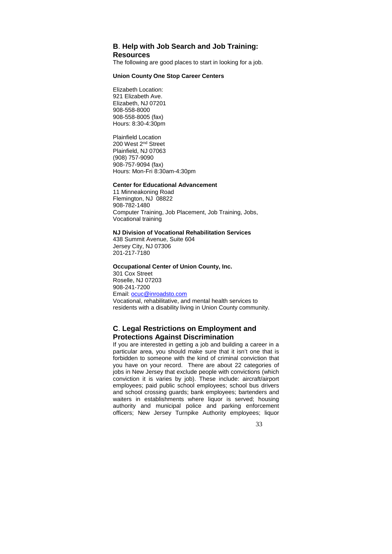## **B**. **Help with Job Search and Job Training: Resources**

The following are good places to start in looking for a job.

## **Union County One Stop Career Centers**

Elizabeth Location: 921 Elizabeth Ave. Elizabeth, NJ 07201 908-558-8000 908-558-8005 (fax) Hours: 8:30-4:30pm

Plainfield Location 200 West 2nd Street Plainfield, NJ 07063 (908) 757-9090 908-757-9094 (fax) Hours: Mon-Fri 8:30am-4:30pm

#### **Center for Educational Advancement**

11 Minneakoning Road Flemington, NJ 08822 908-782-1480 Computer Training, Job Placement, Job Training, Jobs, Vocational training

#### **NJ Division of Vocational Rehabilitation Services**

438 Summit Avenue, Suite 604 Jersey City, NJ 07306 201-217-7180

#### **Occupational Center of Union County, Inc.**

301 Cox Street Roselle, NJ 07203 908-241-7200 Email: ocuc@inroadsto.com Vocational, rehabilitative, and mental health services to residents with a disability living in Union County community.

## **C**. **Legal Restrictions on Employment and Protections Against Discrimination**

If you are interested in getting a job and building a career in a particular area, you should make sure that it isn't one that is forbidden to someone with the kind of criminal conviction that you have on your record. There are about 22 categories of jobs in New Jersey that exclude people with convictions (which conviction it is varies by job). These include: aircraft/airport employees; paid public school employees; school bus drivers and school crossing guards; bank employees; bartenders and waiters in establishments where liquor is served; housing authority and municipal police and parking enforcement officers; New Jersey Turnpike Authority employees; liquor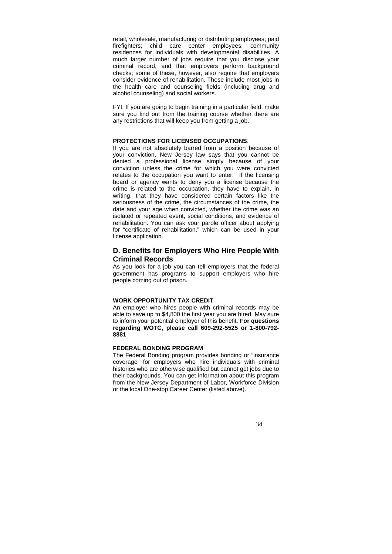retail, wholesale, manufacturing or distributing employees; paid firefighters; child care center employees; community residences for individuals with developmental disabilities. A much larger number of jobs require that you disclose your criminal record, and that employers perform background checks; some of these, however, also require that employers consider evidence of rehabilitation. These include most jobs in the health care and counseling fields (including drug and alcohol counseling) and social workers.

FYI: If you are going to begin training in a particular field, make sure you find out from the training course whether there are any restrictions that will keep you from getting a job.

#### **PROTECTIONS FOR LICENSED OCCUPATIONS**:

If you are not absolutely barred from a position because of your conviction, New Jersey law says that you cannot be denied a professional license simply because of your conviction unless the crime for which you were convicted relates to the occupation you want to enter. If the licensing board or agency wants to deny you a license because the crime is related to the occupation, they have to explain, in writing, that they have considered certain factors like the seriousness of the crime, the circumstances of the crime, the date and your age when convicted, whether the crime was an isolated or repeated event, social conditions, and evidence of rehabilitation. You can ask your parole officer about applying for "certificate of rehabilitation," which can be used in your license application.

## **D. Benefits for Employers Who Hire People With Criminal Records**

As you look for a job you can tell employers that the federal government has programs to support employers who hire people coming out of prison.

#### **WORK OPPORTUNITY TAX CREDIT**

An employer who hires people with criminal records may be able to save up to \$4,800 the first year you are hired. May sure to inform your potential employer of this benefit. **For questions regarding WOTC, please call 609-292-5525 or 1-800-792- 8881**

#### **FEDERAL BONDING PROGRAM**

The Federal Bonding program provides bonding or "insurance coverage" for employers who hire individuals with criminal histories who are otherwise qualified but cannot get jobs due to their backgrounds. You can get information about this program from the New Jersey Department of Labor, Workforce Division or the local One-stop Career Center (listed above).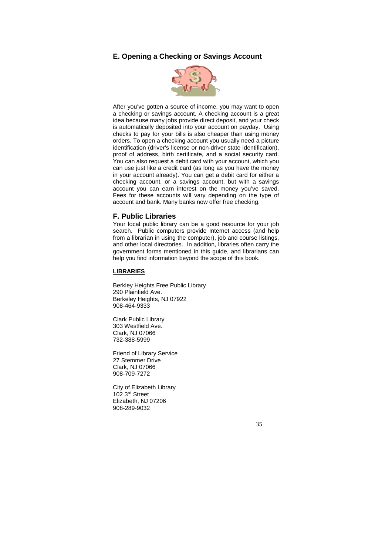## **E. Opening a Checking or Savings Account**



After you've gotten a source of income, you may want to open a checking or savings account. A checking account is a great idea because many jobs provide direct deposit, and your check is automatically deposited into your account on payday. Using checks to pay for your bills is also cheaper than using money orders. To open a checking account you usually need a picture identification (driver's license or non-driver state identification), proof of address, birth certificate, and a social security card. You can also request a debit card with your account, which you can use just like a credit card (as long as you have the money in your account already). You can get a debit card for either a checking account, or a savings account, but with a savings account you can earn interest on the money you've saved. Fees for these accounts will vary depending on the type of account and bank. Many banks now offer free checking.

#### **F. Public Libraries**

Your local public library can be a good resource for your job search. Public computers provide Internet access (and help from a librarian in using the computer), job and course listings, and other local directories. In addition, libraries often carry the government forms mentioned in this guide, and librarians can help you find information beyond the scope of this book.

## **LIBRARIES**

Berkley Heights Free Public Library 290 Plainfield Ave. Berkeley Heights, NJ 07922 908-464-9333

Clark Public Library 303 Westfield Ave. Clark, NJ 07066 732-388-5999

Friend of Library Service 27 Stemmer Drive Clark, NJ 07066 908-709-7272

City of Elizabeth Library 102 3rd Street Elizabeth, NJ 07206 908-289-9032

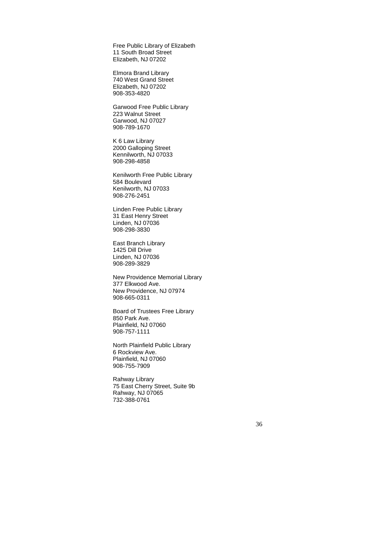Free Public Library of Elizabeth 11 South Broad Street Elizabeth, NJ 07202

Elmora Brand Library 740 West Grand Street Elizabeth, NJ 07202 908-353-4820

Garwood Free Public Library 223 Walnut Street Garwood, NJ 07027 908-789-1670

K 6 Law Library 2000 Galloping Street Kennilworth, NJ 07033 908-298-4858

Kenilworth Free Public Library 584 Boulevard Kenilworth, NJ 07033 908-276-2451

Linden Free Public Library 31 East Henry Street Linden, NJ 07036 908-298-3830

East Branch Library 1425 Dill Drive Linden, NJ 07036 908-289-3829

New Providence Memorial Library 377 Elkwood Ave. New Providence, NJ 07974 908-665-0311

Board of Trustees Free Library 850 Park Ave. Plainfield, NJ 07060 908-757-1111

North Plainfield Public Library 6 Rockview Ave. Plainfield, NJ 07060 908-755-7909

Rahway Library 75 East Cherry Street, Suite 9b Rahway, NJ 07065 732-388-0761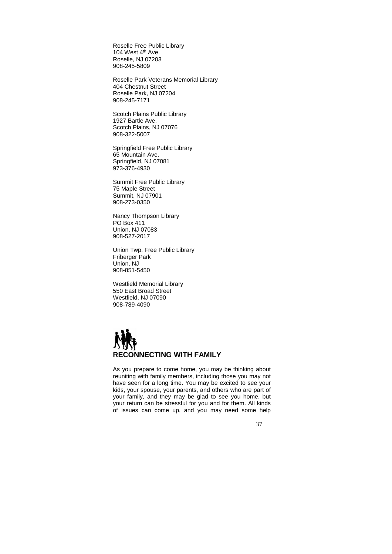Roselle Free Public Library 104 West 4<sup>th</sup> Ave. Roselle, NJ 07203 908-245-5809

Roselle Park Veterans Memorial Library 404 Chestnut Street Roselle Park, NJ 07204 908-245-7171

Scotch Plains Public Library 1927 Bartle Ave. Scotch Plains, NJ 07076 908-322-5007

Springfield Free Public Library 65 Mountain Ave. Springfield, NJ 07081 973-376-4930

Summit Free Public Library 75 Maple Street Summit, NJ 07901 908-273-0350

Nancy Thompson Library PO Box 411 Union, NJ 07083 908-527-2017

Union Twp. Free Public Library Friberger Park Union, NJ 908-851-5450

Westfield Memorial Library 550 East Broad Street Westfield, NJ 07090 908-789-4090



As you prepare to come home, you may be thinking about reuniting with family members, including those you may not have seen for a long time. You may be excited to see your kids, your spouse, your parents, and others who are part of your family, and they may be glad to see you home, but your return can be stressful for you and for them. All kinds of issues can come up, and you may need some help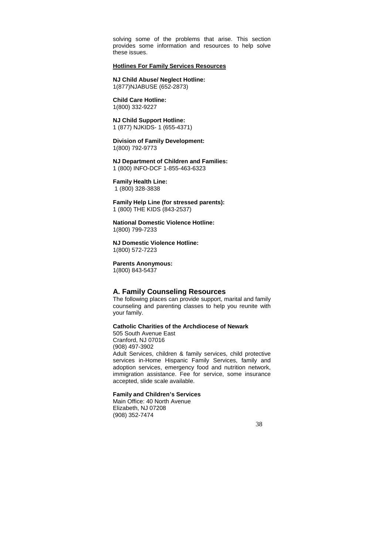solving some of the problems that arise. This section provides some information and resources to help solve these issues.

#### **Hotlines For Family Services Resources**

**NJ Child Abuse/ Neglect Hotline:**  1(877)NJABUSE (652-2873)

**Child Care Hotline:**  1(800) 332-9227

**NJ Child Support Hotline:**  1 (877) NJKIDS- 1 (655-4371)

**Division of Family Development:**  1(800) 792-9773

**NJ Department of Children and Families:**  1 (800) INFO-DCF 1-855-463-6323

**Family Health Line:**  1 (800) 328-3838

**Family Help Line (for stressed parents):**  1 (800) THE KIDS (843-2537)

#### **National Domestic Violence Hotline:**  1(800) 799-7233

**NJ Domestic Violence Hotline:**  1(800) 572-7223

**Parents Anonymous:** 

1(800) 843-5437

## **A. Family Counseling Resources**

The following places can provide support, marital and family counseling and parenting classes to help you reunite with your family.

#### **Catholic Charities of the Archdiocese of Newark**

505 South Avenue East Cranford, NJ 07016 (908) 497-3902 Adult Services, children & family services, child protective services in-Home Hispanic Family Services, family and adoption services, emergency food and nutrition network, immigration assistance. Fee for service, some insurance accepted, slide scale available.

#### **Family and Children's Services**

Main Office: 40 North Avenue Elizabeth, NJ 07208 (908) 352-7474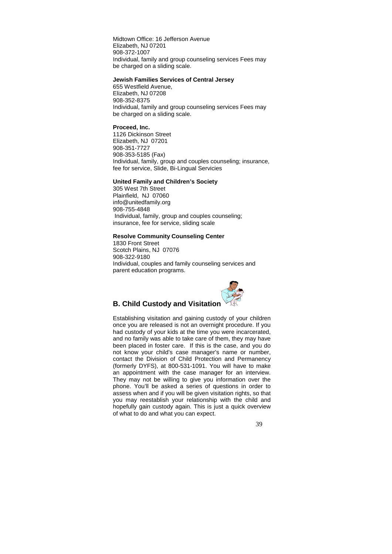Midtown Office: 16 Jefferson Avenue Elizabeth, NJ 07201 908-372-1007 Individual, family and group counseling services Fees may be charged on a sliding scale.

#### **Jewish Families Services of Central Jersey**

655 Westfield Avenue, Elizabeth, NJ 07208 908-352-8375 Individual, family and group counseling services Fees may be charged on a sliding scale.

#### **Proceed, Inc.**

1126 Dickinson Street Elizabeth, NJ 07201 908-351-7727 908-353-5185 (Fax) Individual, family, group and couples counseling; insurance, fee for service, Slide, Bi-Lingual Servicies

#### **United Family and Children's Society**

305 West 7th Street Plainfield, NJ 07060 info@unitedfamily.org 908-755-4848 Individual, family, group and couples counseling; insurance, fee for service, sliding scale

#### **Resolve Community Counseling Center**

1830 Front Street Scotch Plains, NJ 07076 908-322-9180 Individual, couples and family counseling services and parent education programs.



## **B. Child Custody and Visitation**

Establishing visitation and gaining custody of your children once you are released is not an overnight procedure. If you had custody of your kids at the time you were incarcerated, and no family was able to take care of them, they may have been placed in foster care. If this is the case, and you do not know your child's case manager's name or number, contact the Division of Child Protection and Permanency (formerly DYFS), at 800-531-1091. You will have to make an appointment with the case manager for an interview. They may not be willing to give you information over the phone. You'll be asked a series of questions in order to assess when and if you will be given visitation rights, so that you may reestablish your relationship with the child and hopefully gain custody again. This is just a quick overview of what to do and what you can expect.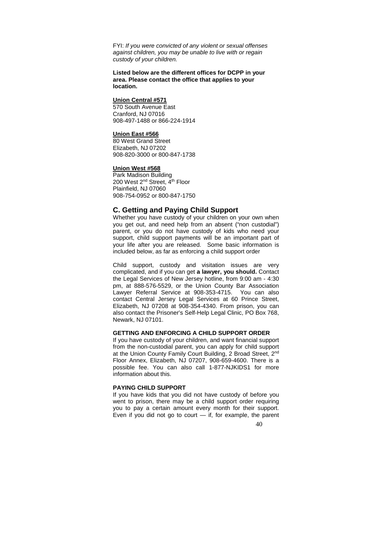FYI: If you were convicted of any violent or sexual offenses against children, you may be unable to live with or regain custody of your children.

#### **Listed below are the different offices for DCPP in your area. Please contact the office that applies to your location.**

#### **Union Central #571**

570 South Avenue East Cranford, NJ 07016 908-497-1488 or 866-224-1914

#### **Union East #566**

80 West Grand Street Elizabeth, NJ 07202 908-820-3000 or 800-847-1738

#### **Union West #568**

Park Madison Building 200 West 2nd Street, 4th Floor Plainfield, NJ 07060 908-754-0952 or 800-847-1750

#### **C. Getting and Paying Child Support**

Whether you have custody of your children on your own when you get out, and need help from an absent ("non custodial") parent, or you do not have custody of kids who need your support, child support payments will be an important part of your life after you are released. Some basic information is included below, as far as enforcing a child support order

Child support, custody and visitation issues are very complicated, and if you can get **a lawyer, you should.** Contact the Legal Services of New Jersey hotline, from 9:00 am - 4:30 pm, at 888-576-5529, or the Union County Bar Association Lawyer Referral Service at 908-353-4715. You can also contact Central Jersey Legal Services at 60 Prince Street, Elizabeth, NJ 07208 at 908-354-4340. From prison, you can also contact the Prisoner's Self-Help Legal Clinic, PO Box 768, Newark, NJ 07101.

#### **GETTING AND ENFORCING A CHILD SUPPORT ORDER**

If you have custody of your children, and want financial support from the non-custodial parent, you can apply for child support at the Union County Family Court Building, 2 Broad Street, 2nd Floor Annex, Elizabeth, NJ 07207, 908-659-4600. There is a possible fee. You can also call 1-877-NJKIDS1 for more information about this.

#### **PAYING CHILD SUPPORT**

If you have kids that you did not have custody of before you went to prison, there may be a child support order requiring you to pay a certain amount every month for their support. Even if you did not go to court  $-$  if, for example, the parent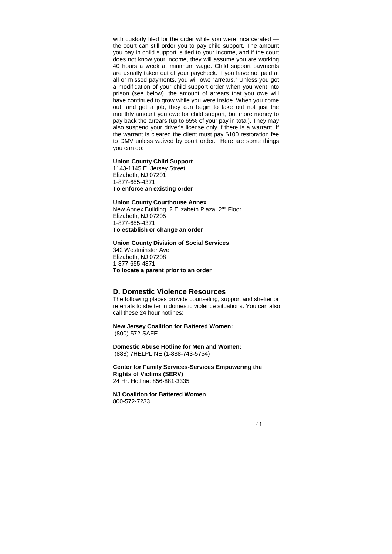with custody filed for the order while you were incarcerated the court can still order you to pay child support. The amount you pay in child support is tied to your income, and if the court does not know your income, they will assume you are working 40 hours a week at minimum wage. Child support payments are usually taken out of your paycheck. If you have not paid at all or missed payments, you will owe "arrears." Unless you got a modification of your child support order when you went into prison (see below), the amount of arrears that you owe will have continued to grow while you were inside. When you come out, and get a job, they can begin to take out not just the monthly amount you owe for child support, but more money to pay back the arrears (up to 65% of your pay in total). They may also suspend your driver's license only if there is a warrant. If the warrant is cleared the client must pay \$100 restoration fee to DMV unless waived by court order. Here are some things you can do:

## **Union County Child Support**

1143-1145 E. Jersey Street Elizabeth, NJ 07201 1-877-655-4371 **To enforce an existing order** 

#### **Union County Courthouse Annex**

New Annex Building, 2 Elizabeth Plaza, 2nd Floor Elizabeth, NJ 07205 1-877-655-4371 **To establish or change an order** 

#### **Union County Division of Social Services**

342 Westminster Ave. Elizabeth, NJ 07208 1-877-655-4371 **To locate a parent prior to an order** 

#### **D. Domestic Violence Resources**

The following places provide counseling, support and shelter or referrals to shelter in domestic violence situations. You can also call these 24 hour hotlines:

#### **New Jersey Coalition for Battered Women:**  (800)-572-SAFE.

**Domestic Abuse Hotline for Men and Women:**  (888) 7HELPLINE (1-888-743-5754)

**Center for Family Services-Services Empowering the Rights of Victims (SERV)**  24 Hr. Hotline: 856-881-3335

**NJ Coalition for Battered Women**  800-572-7233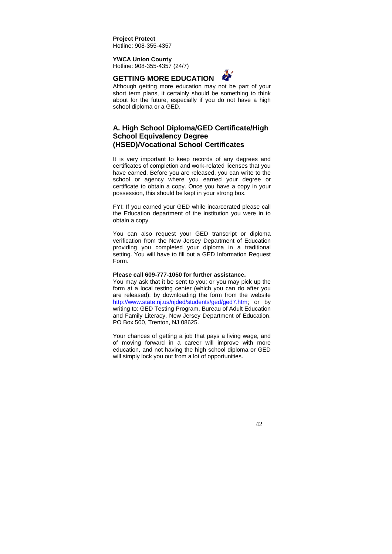**Project Protect** Hotline: 908-355-4357

**YWCA Union County** Hotline: 908-355-4357 (24/7)

## **GETTING MORE EDUCATION**



Although getting more education may not be part of your short term plans, it certainly should be something to think about for the future, especially if you do not have a high school diploma or a GED.

## **A. High School Diploma/GED Certificate/High School Equivalency Degree (HSED)/Vocational School Certificates**

It is very important to keep records of any degrees and certificates of completion and work-related licenses that you have earned. Before you are released, you can write to the school or agency where you earned your degree or certificate to obtain a copy. Once you have a copy in your possession, this should be kept in your strong box.

FYI: If you earned your GED while incarcerated please call the Education department of the institution you were in to obtain a copy.

You can also request your GED transcript or diploma verification from the New Jersey Department of Education providing you completed your diploma in a traditional setting. You will have to fill out a GED Information Request Form.

#### **Please call 609-777-1050 for further assistance.**

You may ask that it be sent to you; or you may pick up the form at a local testing center (which you can do after you are released); by downloading the form from the website http://www.state.nj.us/njded/students/ged/ged7.htm; or by writing to: GED Testing Program, Bureau of Adult Education and Family Literacy, New Jersey Department of Education, PO Box 500, Trenton, NJ 08625.

Your chances of getting a job that pays a living wage, and of moving forward in a career will improve with more education, and not having the high school diploma or GED will simply lock you out from a lot of opportunities.

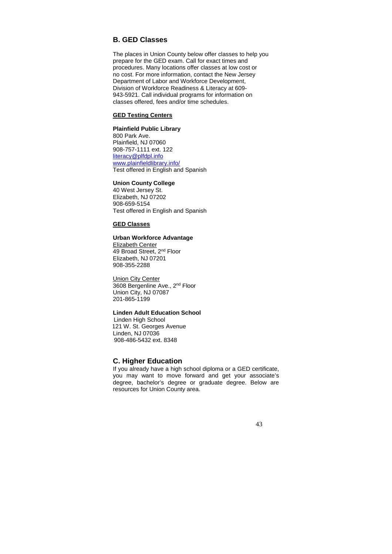## **B. GED Classes**

The places in Union County below offer classes to help you prepare for the GED exam. Call for exact times and procedures. Many locations offer classes at low cost or no cost. For more information, contact the New Jersey Department of Labor and Workforce Development, Division of Workforce Readiness & Literacy at 609- 943-5921. Call individual programs for information on classes offered, fees and/or time schedules.

### **GED Testing Centers**

#### **Plainfield Public Library**

800 Park Ave. Plainfield, NJ 07060 908-757-1111 ext. 122 literacy@plfdpl.info www.plainfieldlibrary.info/ Test offered in English and Spanish

## **Union County College**

40 West Jersey St. Elizabeth, NJ 07202 908-659-5154 Test offered in English and Spanish

## **GED Classes**

#### **Urban Workforce Advantage**

Elizabeth Center 49 Broad Street, 2<sup>nd</sup> Floor Elizabeth, NJ 07201 908-355-2288

Union City Center 3608 Bergenline Ave., 2<sup>nd</sup> Floor Union City, NJ 07087 201-865-1199

## **Linden Adult Education School**

Linden High School 121 W. St. Georges Avenue Linden, NJ 07036 ( 908-486-5432 ext. 8348

### **C. Higher Education**

If you already have a high school diploma or a GED certificate, you may want to move forward and get your associate's degree, bachelor's degree or graduate degree. Below are resources for Union County area.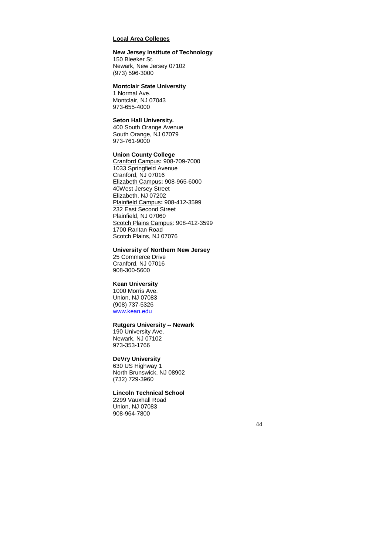## **Local Area Colleges**

## **New Jersey Institute of Technology**

150 Bleeker St. Newark, New Jersey 07102 (973) 596-3000

#### **Montclair State University**

1 Normal Ave. Montclair, NJ 07043 973-655-4000

## **Seton Hall University.**

400 South Orange Avenue South Orange, NJ 07079 973-761-9000

#### **Union County College**

Cranford Campus**:** 908-709-7000 1033 Springfield Avenue Cranford, NJ 07016 Elizabeth Campus**:** 908-965-6000 40West Jersey Street Elizabeth, NJ 07202 Plainfield Campus**:** 908-412-3599 232 East Second Street Plainfield, NJ 07060 Scotch Plains Campus: 908-412-3599 1700 Raritan Road Scotch Plains, NJ 07076

#### **University of Northern New Jersey**

25 Commerce Drive Cranford, NJ 07016 908-300-5600

## **Kean University**

1000 Morris Ave. Union, NJ 07083 (908) 737-5326 www.kean.edu

#### **Rutgers University -- Newark**

190 University Ave. Newark, NJ 07102 973-353-1766

## **DeVry University**

630 US Highway 1 North Brunswick, NJ 08902 (732) 729-3960

#### **Lincoln Technical School**

2299 Vauxhall Road Union, NJ 07083 908-964-7800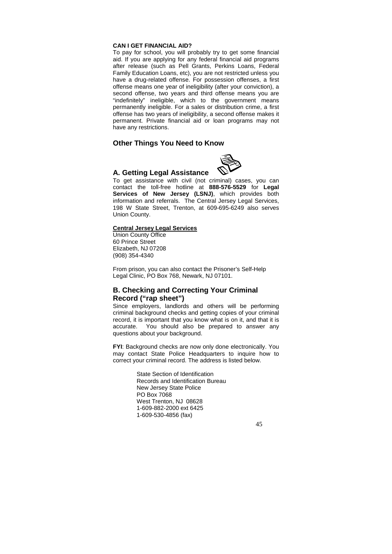#### **CAN I GET FINANCIAL AID?**

To pay for school, you will probably try to get some financial aid. If you are applying for any federal financial aid programs after release (such as Pell Grants, Perkins Loans, Federal Family Education Loans, etc), you are not restricted unless you have a drug-related offense. For possession offenses, a first offense means one year of ineligibility (after your conviction), a second offense, two years and third offense means you are "indefinitely" ineligible, which to the government means permanently ineligible. For a sales or distribution crime, a first offense has two years of ineligibility, a second offense makes it permanent. Private financial aid or loan programs may not have any restrictions.

## **Other Things You Need to Know**

## **A. Getting Legal Assistance**

To get assistance with civil (not criminal) cases, you can contact the toll-free hotline at **888-576-5529** for **Legal Services of New Jersey (LSNJ)**, which provides both information and referrals. The Central Jersey Legal Services, 198 W State Street, Trenton, at 609-695-6249 also serves Union County.

#### **Central Jersey Legal Services**

Union County Office 60 Prince Street Elizabeth, NJ 07208 (908) 354-4340

From prison, you can also contact the Prisoner's Self-Help Legal Clinic, PO Box 768, Newark, NJ 07101.

## **B. Checking and Correcting Your Criminal Record ("rap sheet")**

Since employers, landlords and others will be performing criminal background checks and getting copies of your criminal record, it is important that you know what is on it, and that it is accurate. You should also be prepared to answer any questions about your background.

**FYI**: Background checks are now only done electronically. You may contact State Police Headquarters to inquire how to correct your criminal record. The address is listed below.

> State Section of Identification Records and Identification Bureau New Jersey State Police PO Box 7068 West Trenton, NJ 08628 1-609-882-2000 ext 6425 1-609-530-4856 (fax)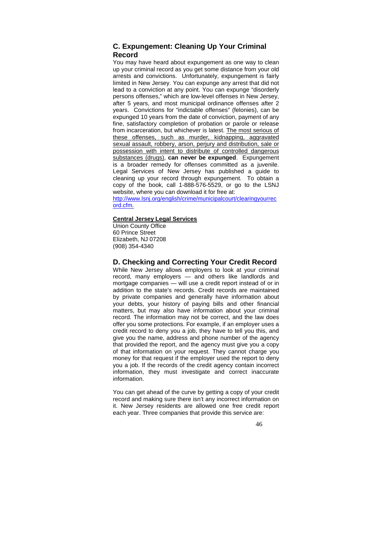## **C. Expungement: Cleaning Up Your Criminal Record**

You may have heard about expungement as one way to clean up your criminal record as you get some distance from your old arrests and convictions. Unfortunately, expungement is fairly limited in New Jersey. You can expunge any arrest that did not lead to a conviction at any point. You can expunge "disorderly persons offenses," which are low-level offenses in New Jersey, after 5 years, and most municipal ordinance offenses after 2 years. Convictions for "indictable offenses" (felonies), can be expunged 10 years from the date of conviction, payment of any fine, satisfactory completion of probation or parole or release from incarceration, but whichever is latest. The most serious of these offenses, such as murder, kidnapping, aggravated sexual assault, robbery, arson, perjury and distribution, sale or possession with intent to distribute of controlled dangerous substances (drugs), **can never be expunged**. Expungement is a broader remedy for offenses committed as a juvenile. Legal Services of New Jersey has published a guide to cleaning up your record through expungement. To obtain a copy of the book, call 1-888-576-5529, or go to the LSNJ website, where you can download it for free at:

http://www.lsnj.org/english/crime/municipalcourt/clearingyourrec ord.cfm.

#### **Central Jersey Legal Services**

Union County Office 60 Prince Street Elizabeth, NJ 07208 (908) 354-4340

## **D. Checking and Correcting Your Credit Record**

While New Jersey allows employers to look at your criminal record, many employers — and others like landlords and mortgage companies — will use a credit report instead of or in addition to the state's records. Credit records are maintained by private companies and generally have information about your debts, your history of paying bills and other financial matters, but may also have information about your criminal record. The information may not be correct, and the law does offer you some protections. For example, if an employer uses a credit record to deny you a job, they have to tell you this, and give you the name, address and phone number of the agency that provided the report, and the agency must give you a copy of that information on your request. They cannot charge you money for that request if the employer used the report to deny you a job. If the records of the credit agency contain incorrect information, they must investigate and correct inaccurate information.

You can get ahead of the curve by getting a copy of your credit record and making sure there isn't any incorrect information on it. New Jersey residents are allowed one free credit report each year. Three companies that provide this service are: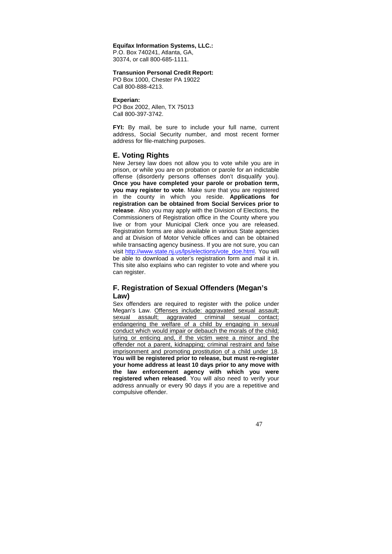#### **Equifax Information Systems, LLC.:**

P.O. Box 740241, Atlanta, GA, 30374, or call 800-685-1111.

#### **Transunion Personal Credit Report:**

PO Box 1000, Chester PA 19022 Call 800-888-4213.

#### **Experian:**

PO Box 2002, Allen, TX 75013 Call 800-397-3742.

**FYI:** By mail, be sure to include your full name, current address, Social Security number, and most recent former address for file-matching purposes.

## **E. Voting Rights**

New Jersey law does not allow you to vote while you are in prison, or while you are on probation or parole for an indictable offense (disorderly persons offenses don't disqualify you). **Once you have completed your parole or probation term, you may register to vote**. Make sure that you are registered in the county in which you reside. **Applications for registration can be obtained from Social Services prior to release**. Also you may apply with the Division of Elections, the Commissioners of Registration office in the County where you live or from your Municipal Clerk once you are released. Registration forms are also available in various State agencies and at Division of Motor Vehicle offices and can be obtained while transacting agency business. If you are not sure, you can visit http://www.state.nj.us/lps/elections/vote\_doe.html. You will be able to download a voter's registration form and mail it in. This site also explains who can register to vote and where you can register.

## **F. Registration of Sexual Offenders (Megan's Law)**

Sex offenders are required to register with the police under Megan's Law. Offenses include: aggravated sexual assault; sexual assault; aggravated criminal sexual contact; endangering the welfare of a child by engaging in sexual conduct which would impair or debauch the morals of the child; luring or enticing and, if the victim were a minor and the offender not a parent, kidnapping; criminal restraint and false imprisonment and promoting prostitution of a child under 18. **You will be registered prior to release, but must re-register your home address at least 10 days prior to any move with the law enforcement agency with which you were registered when released**. You will also need to verify your address annually or every 90 days if you are a repetitive and compulsive offender.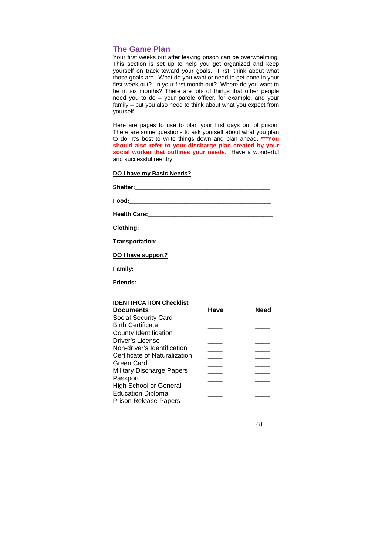## **The Game Plan**

Your first weeks out after leaving prison can be overwhelming. This section is set up to help you get organized and keep yourself on track toward your goals. First, think about what those goals are. What do you want or need to get done in your first week out? In your first month out? Where do you want to be in six months? There are lots of things that other people need you to do – your parole officer, for example, and your family – but you also need to think about what you expect from yourself.

Here are pages to use to plan your first days out of prison. There are some questions to ask yourself about what you plan to do. It's best to write things down and plan ahead. **\*\*\*You should also refer to your discharge plan created by your social worker that outlines your needs.** Have a wonderful and successful reentry!

#### **DO I have my Basic Needs?**

**Friends:\_\_\_\_\_\_\_\_\_\_\_\_\_\_\_\_\_\_\_\_\_\_\_\_\_\_\_\_\_\_\_\_\_\_\_\_\_\_\_\_\_\_** 

| DO I have support? |
|--------------------|
|                    |
|                    |

| <b>IDENTIFICATION Checklist</b>  |      |      |
|----------------------------------|------|------|
| <b>Documents</b>                 | Have | Need |
| Social Security Card             |      |      |
| <b>Birth Certificate</b>         |      |      |
| County Identification            |      |      |
| Driver's License                 |      |      |
| Non-driver's Identification      |      |      |
| Certificate of Naturalization    |      |      |
| Green Card                       |      |      |
| <b>Military Discharge Papers</b> |      |      |
| Passport                         |      |      |
| <b>High School or General</b>    |      |      |
| <b>Education Diploma</b>         |      |      |
| <b>Prison Release Papers</b>     |      |      |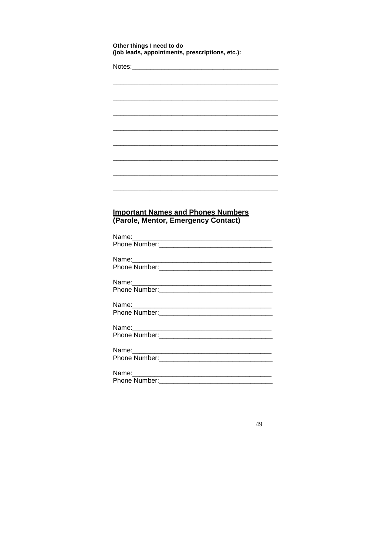|                         | Notes:_________________________________                                          |
|-------------------------|----------------------------------------------------------------------------------|
|                         |                                                                                  |
|                         |                                                                                  |
|                         |                                                                                  |
|                         |                                                                                  |
|                         |                                                                                  |
|                         |                                                                                  |
|                         |                                                                                  |
|                         |                                                                                  |
|                         |                                                                                  |
|                         |                                                                                  |
|                         | <b>Important Names and Phones Numbers</b><br>(Parole, Mentor, Emergency Contact) |
|                         |                                                                                  |
|                         |                                                                                  |
|                         | <u> 2008 - Andrea Andrew Maria (d. 1985)</u>                                     |
|                         |                                                                                  |
| Name:_____<br>Name:____ |                                                                                  |
|                         |                                                                                  |
|                         |                                                                                  |
|                         |                                                                                  |
|                         |                                                                                  |
|                         |                                                                                  |
| Name:                   |                                                                                  |
| Name:____               |                                                                                  |